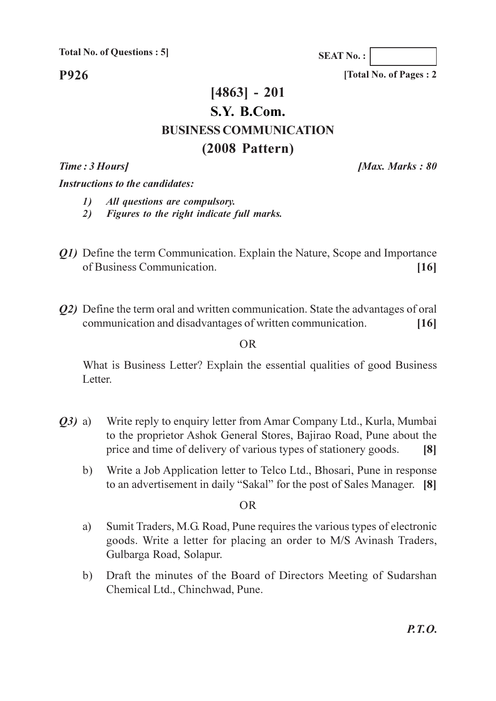**P926** 

## $[4863] - 201$ S.Y. B.Com. **BUSINESS COMMUNICATION**  $(2008$  Pattern)

Time: 3 Hours]

**Instructions to the candidates:** 

 $\mathcal{L}$ All questions are compulsory.

Figures to the right indicate full marks. 2)

- Q1) Define the term Communication. Explain the Nature, Scope and Importance of Business Communication.  $[16]$
- *Q2*) Define the term oral and written communication. State the advantages of oral communication and disadvantages of written communication.  $[16]$

 $\overline{OR}$ 

What is Business Letter? Explain the essential qualities of good Business Letter.

- $(03)$  a) Write reply to enquiry letter from Amar Company Ltd., Kurla, Mumbai to the proprietor Ashok General Stores, Bajirao Road, Pune about the price and time of delivery of various types of stationery goods.  $\lceil 8 \rceil$ 
	- Write a Job Application letter to Telco Ltd., Bhosari, Pune in response  $b)$ to an advertisement in daily "Sakal" for the post of Sales Manager. [8]

**OR** 

- Sumit Traders, M.G. Road, Pune requires the various types of electronic a) goods. Write a letter for placing an order to M/S Avinash Traders, Gulbarga Road, Solapur.
- Draft the minutes of the Board of Directors Meeting of Sudarshan  $b)$ Chemical Ltd., Chinchwad, Pune.

**[Max. Marks: 80** 

**SEAT No.:** 

[Total No. of Pages: 2]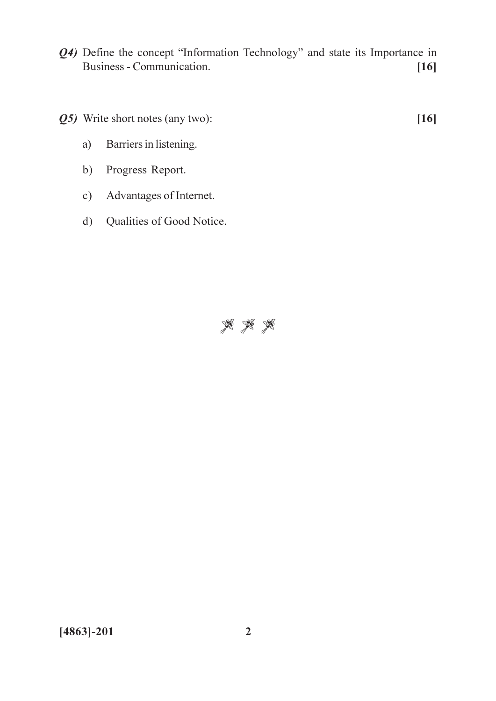- Q4) Define the concept "Information Technology" and state its Importance in Business - Communication.  $[16]$
- Q5) Write short notes (any two):

 $[16]$ 

- Barriers in listening.  $a)$
- b) Progress Report.
- Advantages of Internet.  $c)$
- Qualities of Good Notice.  $d)$

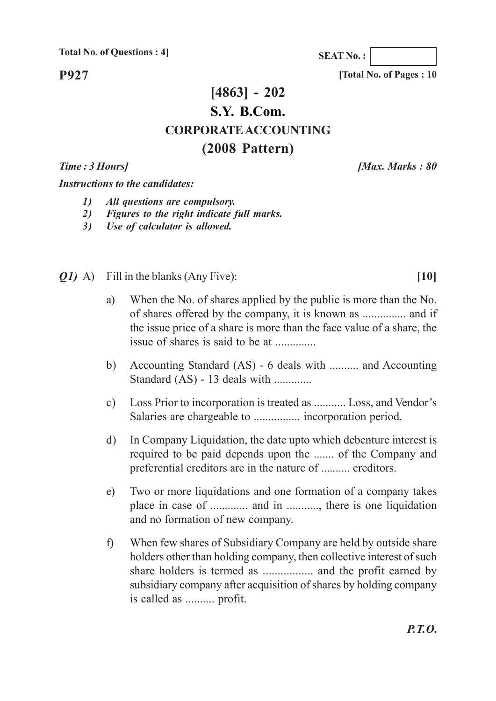**P927**

## **[4863] - 202 S.Y. B.Com. CORPORATE ACCOUNTING (2008 Pattern)**

*Time : 3 Hours] [Max. Marks : 80*

*Instructions to the candidates:*

- *1) All questions are compulsory.*
- *2) Figures to the right indicate full marks.*
- *3) Use of calculator is allowed.*
- *Q1)* A) Fill in the blanks (Any Five): **[10]**
	- a) When the No. of shares applied by the public is more than the No. of shares offered by the company, it is known as ............... and if the issue price of a share is more than the face value of a share, the issue of shares is said to be at ..............
	- b) Accounting Standard (AS) 6 deals with .......... and Accounting Standard (AS) - 13 deals with .............
	- c) Loss Prior to incorporation is treated as ........... Loss, and Vendor's Salaries are chargeable to ................ incorporation period.
	- d) In Company Liquidation, the date upto which debenture interest is required to be paid depends upon the ....... of the Company and preferential creditors are in the nature of .......... creditors.
	- e) Two or more liquidations and one formation of a company takes place in case of ............. and in ..........., there is one liquidation and no formation of new company.
	- f) When few shares of Subsidiary Company are held by outside share holders other than holding company, then collective interest of such share holders is termed as ................. and the profit earned by subsidiary company after acquisition of shares by holding company is called as .......... profit.

**SEAT No. :**

**[Total No. of Pages : 10**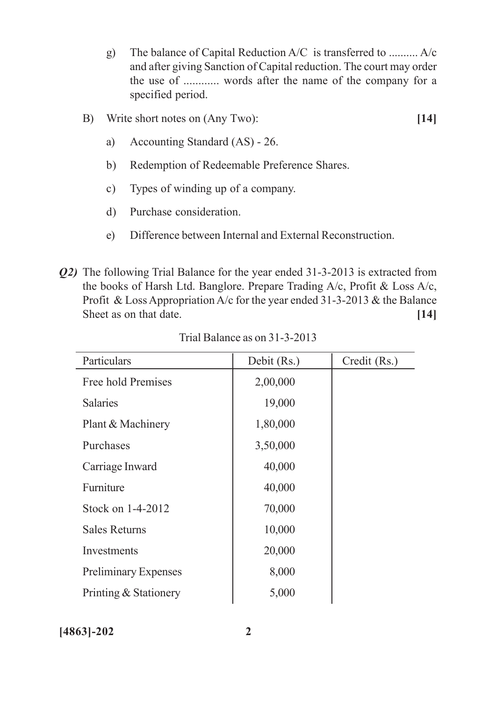- g) The balance of Capital Reduction A/C is transferred to .......... A/c and after giving Sanction of Capital reduction. The court may order the use of ............ words after the name of the company for a specified period.
- B) Write short notes on (Any Two): **[14]**
	- a) Accounting Standard (AS) 26.
	- b) Redemption of Redeemable Preference Shares.
	- c) Types of winding up of a company.
	- d) Purchase consideration.
	- e) Difference between Internal and External Reconstruction.
- *Q2)* The following Trial Balance for the year ended 31-3-2013 is extracted from the books of Harsh Ltd. Banglore. Prepare Trading A/c, Profit & Loss A/c, Profit & Loss Appropriation A/c for the year ended 31-3-2013 & the Balance Sheet as on that date. **[14]**

| Particulars                 | Debit (Rs.) | Credit (Rs.) |
|-----------------------------|-------------|--------------|
| Free hold Premises          | 2,00,000    |              |
| <b>Salaries</b>             | 19,000      |              |
| Plant & Machinery           | 1,80,000    |              |
| Purchases                   | 3,50,000    |              |
| Carriage Inward             | 40,000      |              |
| Furniture                   | 40,000      |              |
| Stock on 1-4-2012           | 70,000      |              |
| <b>Sales Returns</b>        | 10,000      |              |
| Investments                 | 20,000      |              |
| <b>Preliminary Expenses</b> | 8,000       |              |
| Printing & Stationery       | 5,000       |              |

Trial Balance as on 31-3-2013

**[4863]-202 2**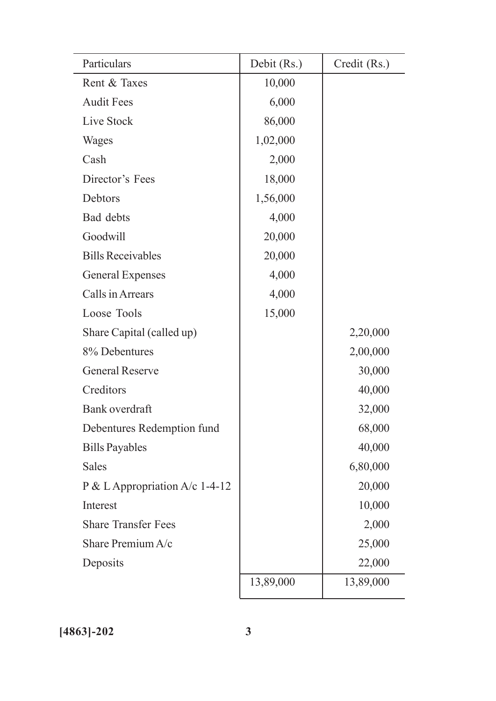| Particulars                      | Debit (Rs.) | Credit (Rs.) |
|----------------------------------|-------------|--------------|
| Rent & Taxes                     | 10,000      |              |
| <b>Audit Fees</b>                | 6,000       |              |
| Live Stock                       | 86,000      |              |
| Wages                            | 1,02,000    |              |
| Cash                             | 2,000       |              |
| Director's Fees                  | 18,000      |              |
| Debtors                          | 1,56,000    |              |
| Bad debts                        | 4,000       |              |
| Goodwill                         | 20,000      |              |
| <b>Bills Receivables</b>         | 20,000      |              |
| <b>General Expenses</b>          | 4,000       |              |
| Calls in Arrears                 | 4,000       |              |
| Loose Tools                      | 15,000      |              |
| Share Capital (called up)        |             | 2,20,000     |
| 8% Debentures                    |             | 2,00,000     |
| <b>General Reserve</b>           |             | 30,000       |
| Creditors                        |             | 40,000       |
| Bank overdraft                   |             | 32,000       |
| Debentures Redemption fund       |             | 68,000       |
| <b>Bills Payables</b>            |             | 40,000       |
| <b>Sales</b>                     |             | 6,80,000     |
| P & L Appropriation $A/c$ 1-4-12 |             | 20,000       |
| Interest                         |             | 10,000       |
| <b>Share Transfer Fees</b>       |             | 2,000        |
| Share Premium A/c                |             | 25,000       |
| Deposits                         |             | 22,000       |
|                                  | 13,89,000   | 13,89,000    |
|                                  |             |              |

**[4863]-202 3**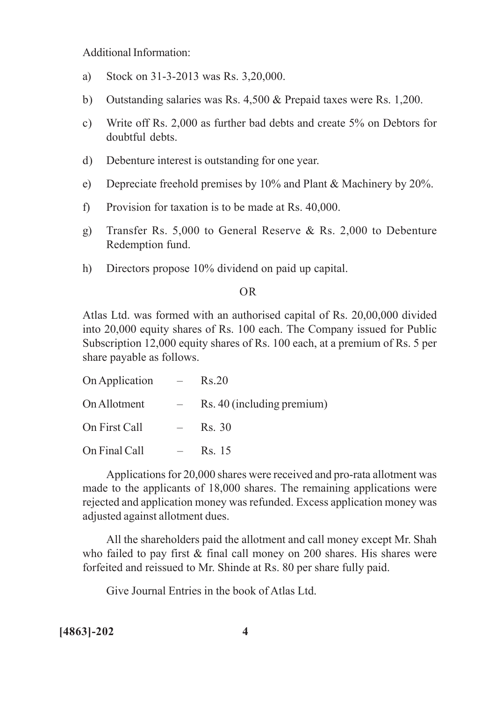Additional Information:

- a) Stock on 31-3-2013 was Rs. 3,20,000.
- b) Outstanding salaries was Rs. 4,500 & Prepaid taxes were Rs. 1,200.
- c) Write off Rs. 2,000 as further bad debts and create 5% on Debtors for doubtful debts.
- d) Debenture interest is outstanding for one year.
- e) Depreciate freehold premises by 10% and Plant & Machinery by 20%.
- f) Provision for taxation is to be made at Rs. 40,000.
- g) Transfer Rs. 5,000 to General Reserve & Rs. 2,000 to Debenture Redemption fund.
- h) Directors propose 10% dividend on paid up capital.

#### OR

Atlas Ltd. was formed with an authorised capital of Rs. 20,00,000 divided into 20,000 equity shares of Rs. 100 each. The Company issued for Public Subscription 12,000 equity shares of Rs. 100 each, at a premium of Rs. 5 per share payable as follows.

| On Application | $\mathcal{L}=\mathcal{L}$ | Rs.20                      |
|----------------|---------------------------|----------------------------|
| On Allotment   |                           | Rs. 40 (including premium) |
| On First Call  | $\frac{1}{2}$             | Rs. 30                     |
| On Final Call  | $\frac{1}{2}$             | Rs. 15                     |

Applications for 20,000 shares were received and pro-rata allotment was made to the applicants of 18,000 shares. The remaining applications were rejected and application money was refunded. Excess application money was adjusted against allotment dues.

All the shareholders paid the allotment and call money except Mr. Shah who failed to pay first & final call money on 200 shares. His shares were forfeited and reissued to Mr. Shinde at Rs. 80 per share fully paid.

Give Journal Entries in the book of Atlas Ltd.

**[4863]-202 4**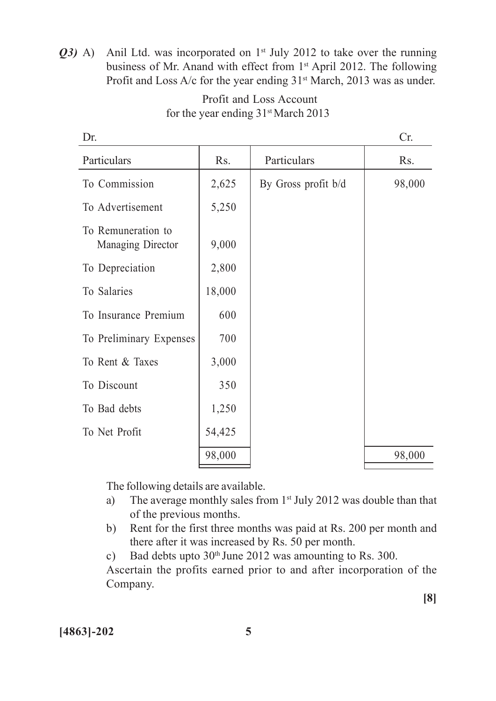*Q3)* A) Anil Ltd. was incorporated on 1<sup>st</sup> July 2012 to take over the running business of Mr. Anand with effect from 1<sup>st</sup> April 2012. The following Profit and Loss A/c for the year ending  $31<sup>st</sup>$  March, 2013 was as under.

| Dr.                                     |        |                     | Cr.    |
|-----------------------------------------|--------|---------------------|--------|
| Particulars                             | Rs.    | Particulars         | Rs.    |
| To Commission                           | 2,625  | By Gross profit b/d | 98,000 |
| To Advertisement                        | 5,250  |                     |        |
| To Remuneration to<br>Managing Director | 9,000  |                     |        |
| To Depreciation                         | 2,800  |                     |        |
| To Salaries                             | 18,000 |                     |        |
| To Insurance Premium                    | 600    |                     |        |
| To Preliminary Expenses                 | 700    |                     |        |
| To Rent & Taxes                         | 3,000  |                     |        |
| To Discount                             | 350    |                     |        |
| To Bad debts                            | 1,250  |                     |        |
| To Net Profit                           | 54,425 |                     |        |
|                                         | 98,000 |                     | 98,000 |
|                                         |        |                     |        |

#### Profit and Loss Account for the year ending  $31$ <sup>st</sup> March 2013

The following details are available.

- a) The average monthly sales from 1<sup>st</sup> July 2012 was double than that of the previous months.
- b) Rent for the first three months was paid at Rs. 200 per month and there after it was increased by Rs. 50 per month.
- c) Bad debts upto  $30<sup>th</sup>$  June 2012 was amounting to Rs. 300.

Ascertain the profits earned prior to and after incorporation of the Company.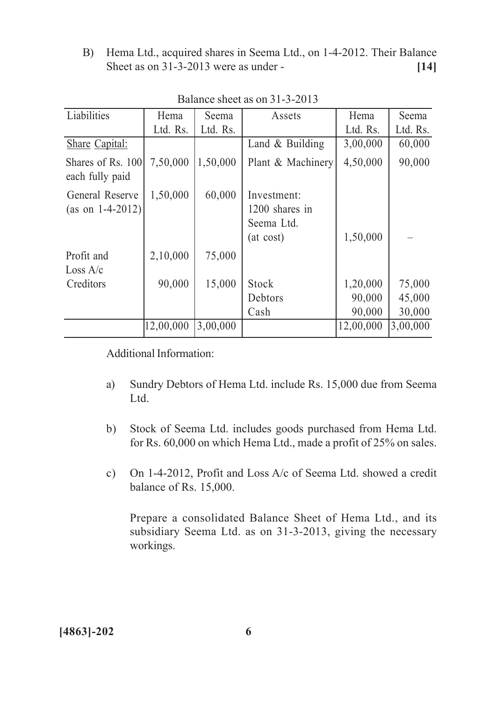B) Hema Ltd., acquired shares in Seema Ltd., on 1-4-2012. Their Balance Sheet as on 31-3-2013 were as under - **[14]**

| Hema                            | Seema    | Assets                                                   | Hema      | Seema    |
|---------------------------------|----------|----------------------------------------------------------|-----------|----------|
| Ltd. Rs.                        | Ltd. Rs. |                                                          | Ltd. Rs.  | Ltd. Rs. |
|                                 |          | Land $&$ Building                                        | 3,00,000  | 60,000   |
| 7,50,000<br>Shares of Rs. 100   | 1,50,000 | Plant & Machinery                                        | 4,50,000  | 90,000   |
| 1,50,000<br>(as on $1-4-2012$ ) | 60,000   | Investment:<br>1200 shares in<br>Seema Ltd.<br>(at cost) | 1,50,000  |          |
| 2,10,000                        | 75,000   |                                                          |           |          |
|                                 |          |                                                          |           |          |
| 90,000                          | 15,000   | <b>Stock</b>                                             | 1,20,000  | 75,000   |
|                                 |          | Debtors                                                  | 90,000    | 45,000   |
|                                 |          | Cash                                                     | 90,000    | 30,000   |
| 12,00,000                       | 3,00,000 |                                                          | 12,00,000 | 3,00,000 |
|                                 |          |                                                          |           |          |

Balance sheet as on 31-3-2013

Additional Information:

- a) Sundry Debtors of Hema Ltd. include Rs. 15,000 due from Seema Ltd.
- b) Stock of Seema Ltd. includes goods purchased from Hema Ltd. for Rs. 60,000 on which Hema Ltd., made a profit of 25% on sales.
- c) On 1-4-2012, Profit and Loss A/c of Seema Ltd. showed a credit balance of Rs. 15,000.

Prepare a consolidated Balance Sheet of Hema Ltd., and its subsidiary Seema Ltd. as on 31-3-2013, giving the necessary workings.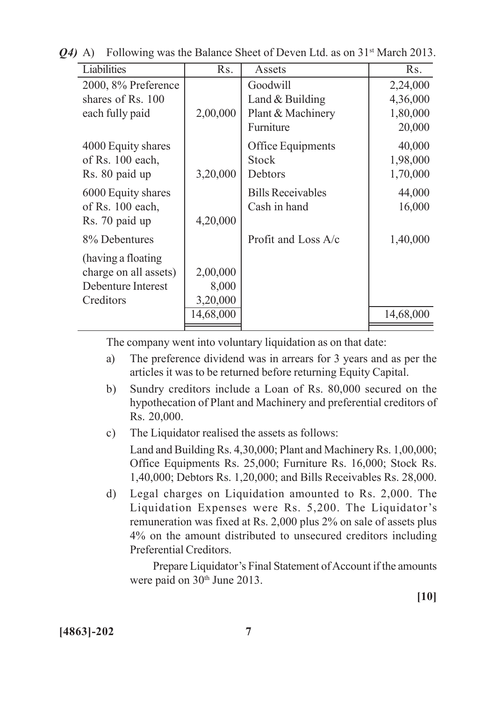| Liabilities                                                                     | Rs.                           | Assets                                                          | R <sub>s</sub> .                           |
|---------------------------------------------------------------------------------|-------------------------------|-----------------------------------------------------------------|--------------------------------------------|
| 2000, 8% Preference<br>shares of Rs. 100<br>each fully paid                     | 2,00,000                      | Goodwill<br>Land $&$ Building<br>Plant & Machinery<br>Furniture | 2,24,000<br>4,36,000<br>1,80,000<br>20,000 |
| 4000 Equity shares<br>of Rs. 100 each,<br>Rs. 80 paid up                        | 3,20,000                      | Office Equipments<br><b>Stock</b><br>Debtors                    | 40,000<br>1,98,000<br>1,70,000             |
| 6000 Equity shares<br>of Rs. 100 each,<br>Rs. 70 paid up                        | 4,20,000                      | <b>Bills Receivables</b><br>Cash in hand                        | 44,000<br>16,000                           |
| 8% Debentures                                                                   |                               | Profit and Loss A/c                                             | 1,40,000                                   |
| (having a floating)<br>charge on all assets)<br>Debenture Interest<br>Creditors | 2,00,000<br>8,000<br>3,20,000 |                                                                 |                                            |
|                                                                                 | 14,68,000                     |                                                                 | 14,68,000                                  |
|                                                                                 |                               |                                                                 |                                            |

*Q4*) A) Following was the Balance Sheet of Deven Ltd. as on 31<sup>st</sup> March 2013.

The company went into voluntary liquidation as on that date:

- a) The preference dividend was in arrears for 3 years and as per the articles it was to be returned before returning Equity Capital.
- b) Sundry creditors include a Loan of Rs. 80,000 secured on the hypothecation of Plant and Machinery and preferential creditors of Rs. 20,000.
- c) The Liquidator realised the assets as follows: Land and Building Rs. 4,30,000; Plant and Machinery Rs. 1,00,000; Office Equipments Rs. 25,000; Furniture Rs. 16,000; Stock Rs. 1,40,000; Debtors Rs. 1,20,000; and Bills Receivables Rs. 28,000.
- d) Legal charges on Liquidation amounted to Rs. 2,000. The Liquidation Expenses were Rs. 5,200. The Liquidator's remuneration was fixed at Rs. 2,000 plus 2% on sale of assets plus 4% on the amount distributed to unsecured creditors including Preferential Creditors.

Prepare Liquidator's Final Statement of Account if the amounts were paid on 30<sup>th</sup> June 2013.

**[10]**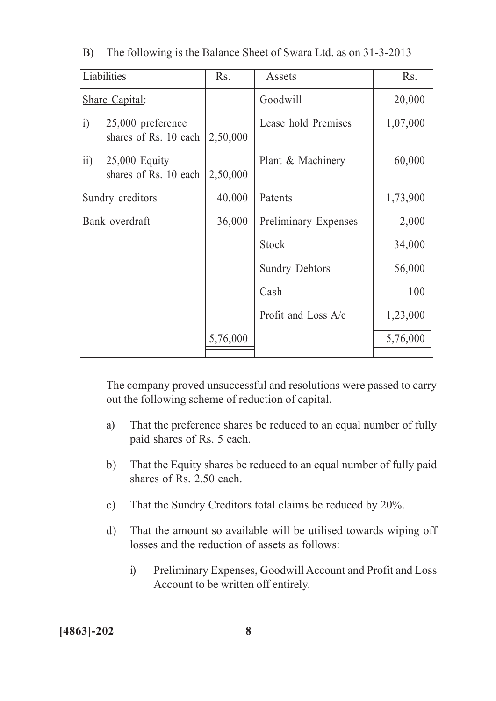|                 | Liabilities                                  | R <sub>S</sub> . | Assets                | Rs.      |
|-----------------|----------------------------------------------|------------------|-----------------------|----------|
|                 | <b>Share Capital:</b>                        |                  | Goodwill              | 20,000   |
| $\ddot{1}$      | $25,000$ preference<br>shares of Rs. 10 each | 2,50,000         | Lease hold Premises   | 1,07,000 |
| $\overline{11}$ | $25,000$ Equity<br>shares of Rs. 10 each     | 2,50,000         | Plant & Machinery     | 60,000   |
|                 | Sundry creditors                             | 40,000           | Patents               | 1,73,900 |
| Bank overdraft  |                                              | 36,000           | Preliminary Expenses  | 2,000    |
|                 |                                              |                  | <b>Stock</b>          | 34,000   |
|                 |                                              |                  | <b>Sundry Debtors</b> | 56,000   |
|                 |                                              |                  | Cash                  | 100      |
|                 |                                              |                  | Profit and Loss A/c   | 1,23,000 |
|                 |                                              | 5,76,000         |                       | 5,76,000 |
|                 |                                              |                  |                       |          |

B) The following is the Balance Sheet of Swara Ltd. as on 31-3-2013

The company proved unsuccessful and resolutions were passed to carry out the following scheme of reduction of capital.

- a) That the preference shares be reduced to an equal number of fully paid shares of Rs. 5 each.
- b) That the Equity shares be reduced to an equal number of fully paid shares of Rs. 2.50 each.
- c) That the Sundry Creditors total claims be reduced by 20%.
- d) That the amount so available will be utilised towards wiping off losses and the reduction of assets as follows:
	- i) Preliminary Expenses, Goodwill Account and Profit and Loss Account to be written off entirely.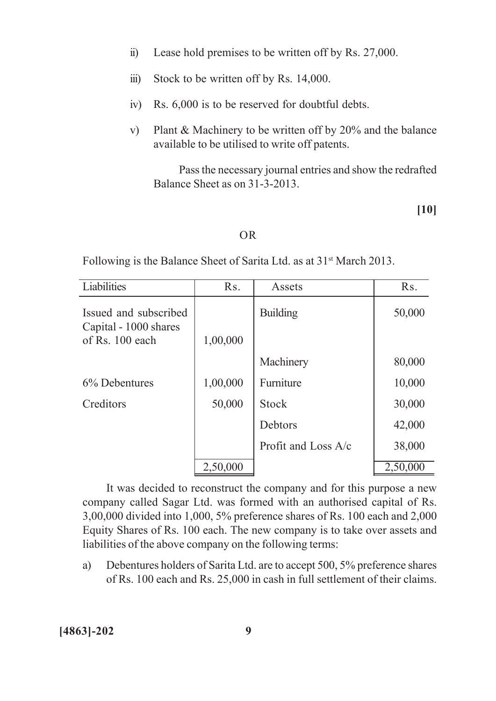- ii) Lease hold premises to be written off by Rs. 27,000.
- iii) Stock to be written off by Rs. 14,000.
- iv) Rs. 6,000 is to be reserved for doubtful debts.
- v) Plant & Machinery to be written off by 20% and the balance available to be utilised to write off patents.

Pass the necessary journal entries and show the redrafted Balance Sheet as on 31-3-2013.

**[10]**

#### OR

Following is the Balance Sheet of Sarita Ltd. as at 31<sup>st</sup> March 2013.

| Liabilities                                                       | R <sub>s</sub> . | Assets                | R <sub>S</sub> . |
|-------------------------------------------------------------------|------------------|-----------------------|------------------|
| Issued and subscribed<br>Capital - 1000 shares<br>of Rs. 100 each | 1,00,000         | <b>Building</b>       | 50,000           |
|                                                                   |                  | Machinery             | 80,000           |
| 6% Debentures                                                     | 1,00,000         | Furniture             | 10,000           |
| Creditors                                                         | 50,000           | <b>Stock</b>          | 30,000           |
|                                                                   |                  | Debtors               | 42,000           |
|                                                                   |                  | Profit and Loss $A/c$ | 38,000           |
|                                                                   | 2,50,000         |                       | 2,50,000         |

It was decided to reconstruct the company and for this purpose a new company called Sagar Ltd. was formed with an authorised capital of Rs. 3,00,000 divided into 1,000, 5% preference shares of Rs. 100 each and 2,000 Equity Shares of Rs. 100 each. The new company is to take over assets and liabilities of the above company on the following terms:

a) Debentures holders of Sarita Ltd. are to accept 500, 5% preference shares of Rs. 100 each and Rs. 25,000 in cash in full settlement of their claims.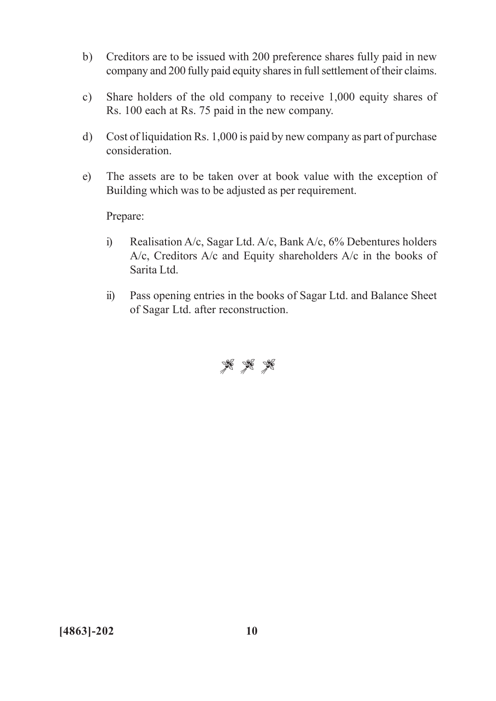- b) Creditors are to be issued with 200 preference shares fully paid in new company and 200 fully paid equity shares in full settlement of their claims.
- c) Share holders of the old company to receive 1,000 equity shares of Rs. 100 each at Rs. 75 paid in the new company.
- d) Cost of liquidation Rs. 1,000 is paid by new company as part of purchase consideration.
- e) The assets are to be taken over at book value with the exception of Building which was to be adjusted as per requirement.

Prepare:

- i) Realisation A/c, Sagar Ltd. A/c, Bank A/c, 6% Debentures holders A/c, Creditors A/c and Equity shareholders A/c in the books of Sarita Ltd.
- ii) Pass opening entries in the books of Sagar Ltd. and Balance Sheet of Sagar Ltd. after reconstruction.

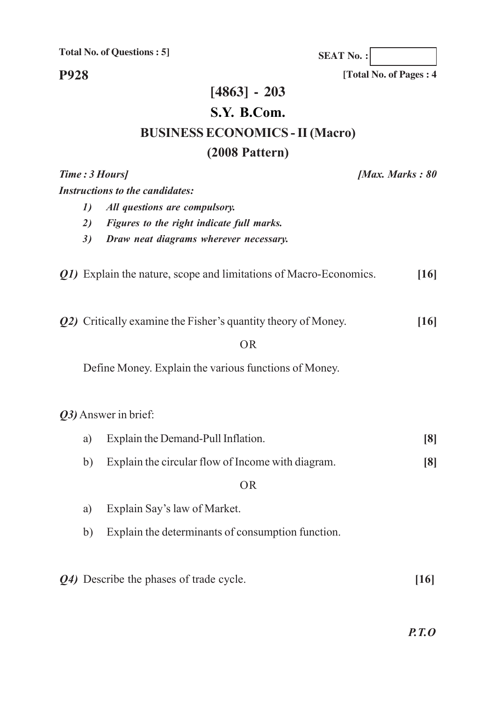**SEAT No. :**

**[Total No. of Pages : 4**

**P928**

## **[4863] - 203**

## **S.Y. B.Com.**

## **BUSINESS ECONOMICS - II (Macro)**

## **(2008 Pattern)**

|    | Time: 3 Hours]                                                       | [Max. Marks: 80   |
|----|----------------------------------------------------------------------|-------------------|
|    | <b>Instructions to the candidates:</b>                               |                   |
| 1) | All questions are compulsory.                                        |                   |
| 2) | Figures to the right indicate full marks.                            |                   |
| 3) | Draw neat diagrams wherever necessary.                               |                   |
|    | Q1) Explain the nature, scope and limitations of Macro-Economics.    | [16]              |
|    | <b>Q2)</b> Critically examine the Fisher's quantity theory of Money. | [16]              |
|    | <b>OR</b>                                                            |                   |
|    | Define Money. Explain the various functions of Money.                |                   |
|    | Q3) Answer in brief:                                                 |                   |
| a) | Explain the Demand-Pull Inflation.                                   | $\lceil 8 \rceil$ |
| b) | Explain the circular flow of Income with diagram.                    | $\lceil 8 \rceil$ |
|    | <b>OR</b>                                                            |                   |
| a) | Explain Say's law of Market.                                         |                   |
| b) | Explain the determinants of consumption function.                    |                   |
|    | Q4) Describe the phases of trade cycle.                              | [16]              |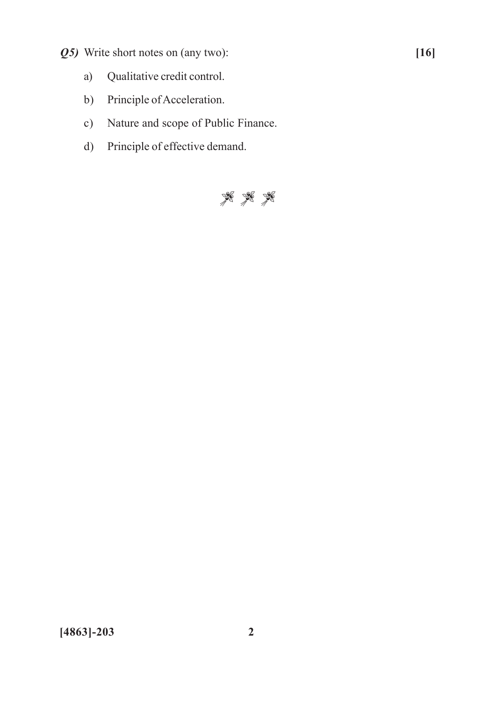- *Q5)* Write short notes on (any two): **[16]**
	- a) Qualitative credit control.
	- b) Principle of Acceleration.
	- c) Nature and scope of Public Finance.
	- d) Principle of effective demand.

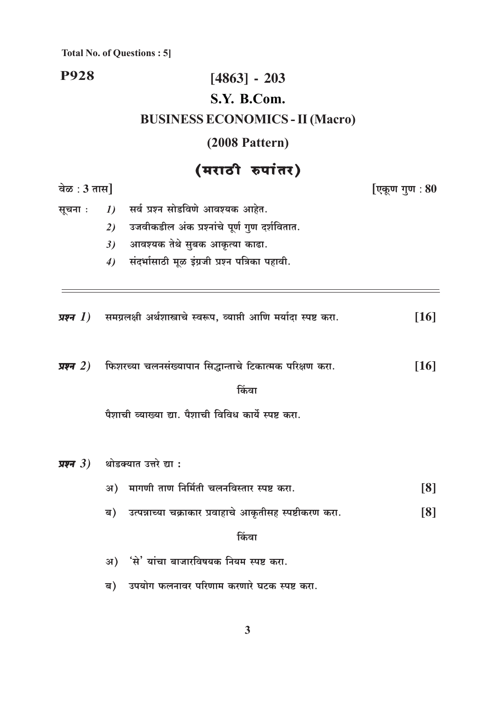### **P928**

## $[4863] - 203$ S.Y. B.Com.

## **BUSINESS ECONOMICS - II (Macro)**

## $(2008$  Pattern)

## $\frac{1}{\pi}$

|                          | $(41101)$ $64177)$                                                                      |                    |  |  |  |  |
|--------------------------|-----------------------------------------------------------------------------------------|--------------------|--|--|--|--|
| वेळ : $3 \pi \mathbf{H}$ | [एकूण गुण $\,$ : $80$                                                                   |                    |  |  |  |  |
| सूचना :                  | सर्व प्रश्न सोडविणे आवश्यक आहेत.<br>1)                                                  |                    |  |  |  |  |
|                          | उजवीकडील अंक प्रश्नांचे पूर्ण गुण दर्शवितात.<br>2)                                      |                    |  |  |  |  |
|                          | आवश्यक तेथे सुबक आकृत्या काढा.<br>3)                                                    |                    |  |  |  |  |
|                          | संदर्भासाठी मूळ इंग्रजी प्रश्न पत्रिका पहावी.<br>4)                                     |                    |  |  |  |  |
|                          |                                                                                         |                    |  |  |  |  |
|                          | <b>प्रश्न 1</b> )    समग्रलक्षी अर्थशास्त्राचे स्वरूप, व्याप्ती आणि मर्यादा स्पष्ट करा. | [16]               |  |  |  |  |
|                          | प्रश्न 2) फिशरच्या चलनसंख्यापान सिद्धान्ताचे टिकात्मक परिक्षण करा.                      | $\lceil 16 \rceil$ |  |  |  |  |
|                          | किंवा                                                                                   |                    |  |  |  |  |
|                          |                                                                                         |                    |  |  |  |  |
|                          | प्रश्न 3) थोडक्यात उत्तरे द्या <b>ः</b>                                                 |                    |  |  |  |  |
|                          | अ) मागणी ताण निर्मिती चलनविस्तार स्पष्ट करा.                                            | [8]                |  |  |  |  |
|                          | उत्पन्नाच्या चक्राकार प्रवाहाचे आकृतीसह स्पष्टीकरण करा.<br>ब)                           | $\lceil 8 \rceil$  |  |  |  |  |
|                          | किंवा                                                                                   |                    |  |  |  |  |
|                          | अ) 'से' यांचा बाजारविषयक नियम स्पष्ट करा.                                               |                    |  |  |  |  |
|                          | उपयोग फलनावर परिणाम करणारे घटक स्पष्ट करा.<br>ब)                                        |                    |  |  |  |  |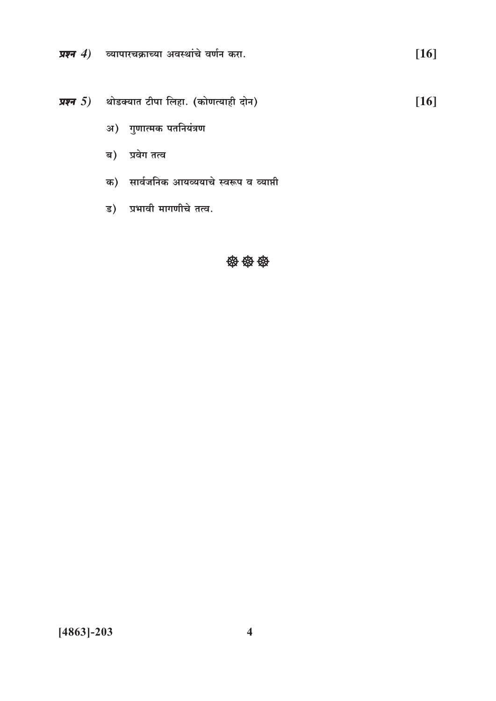प्रश्न  $4$ ) व्यापारचक्राच्या अवस्थांचे वर्णन करा.

प्रश्न  $5$ ) थोडक्यात टीपा लिहा. (कोणत्याही दोन)  $[16]$ 

 $[16]$ 

- अ) गुणात्मक पतनियंत्रण
- ब) प्रवेग तत्व
- क) सार्वजनिक आयव्ययाचे स्वरूप व व्याप्ती
- ड) प्रभावी मागणीचे तत्व.

#### 袋袋袋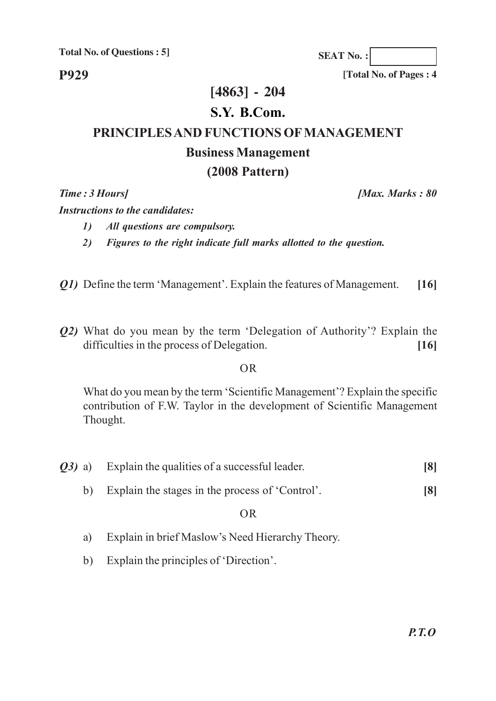**P929**

**[Total No. of Pages : 4**

**SEAT No. :**

### **[4863] - 204**

### **S.Y. B.Com.**

## **PRINCIPLES AND FUNCTIONS OF MANAGEMENT**

#### **Business Management**

#### **(2008 Pattern)**

*Time : 3 Hours] [Max. Marks : 80*

*Instructions to the candidates:*

- *1) All questions are compulsory.*
- *2) Figures to the right indicate full marks allotted to the question.*
- *Q1)* Define the term 'Management'. Explain the features of Management. **[16]**
- *Q2)* What do you mean by the term 'Delegation of Authority'? Explain the difficulties in the process of Delegation. **[16]**

#### OR

What do you mean by the term 'Scientific Management'? Explain the specific contribution of F.W. Taylor in the development of Scientific Management Thought.

- *Q3)* a) Explain the qualities of a successful leader. **[8]**
	- b) Explain the stages in the process of 'Control'. **[8]**

#### OR

- a) Explain in brief Maslow's Need Hierarchy Theory.
- b) Explain the principles of 'Direction'.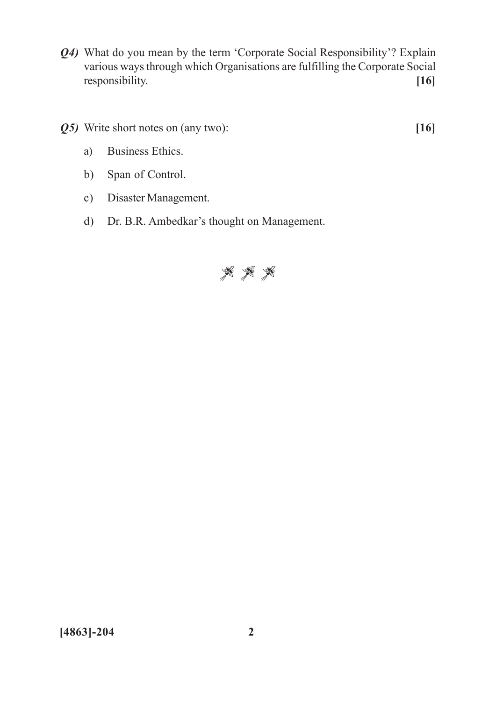- *Q4)* What do you mean by the term 'Corporate Social Responsibility'? Explain various ways through which Organisations are fulfilling the Corporate Social responsibility. **[16]**
- *Q5)* Write short notes on (any two): **[16]**
	- a) Business Ethics.
	- b) Span of Control.
	- c) Disaster Management.
	- d) Dr. B.R. Ambedkar's thought on Management.

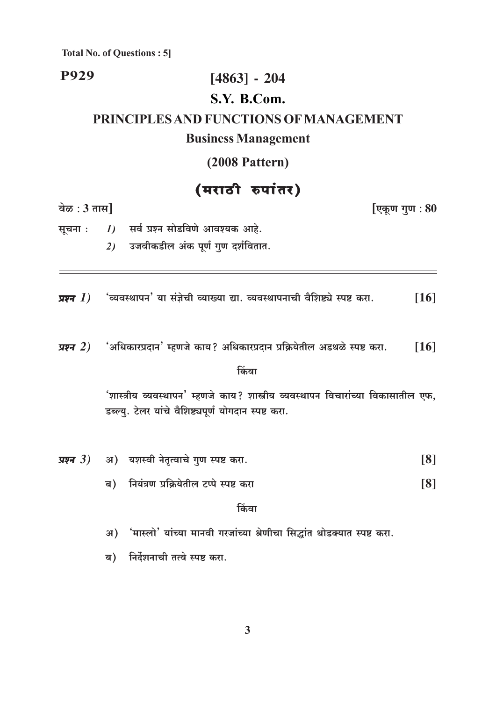**P929** 

## $[4863] - 204$ S.Y. B.Com.

## PRINCIPLES AND FUNCTIONS OF MANAGEMENT

#### **Business Management**

(2008 Pattern)

## (मराठी रुपांतर)

वेळ:  $3 \pi \mathbf{H}$ 

[एकूण गुण : 80

1) सर्व प्रश्न सोडविणे आवश्यक आहे. सूचना : उजवीकडील अंक पूर्ण गुण दर्शवितात.  $2)$ 

'व्यवस्थापन' या संज्ञेची व्याख्या द्या. व्यवस्थापनाची वैशिष्ट्ये स्पष्ट करा.  $[16]$ प्रश्न $(1)$ 

'अधिकारप्रदान' म्हणजे काय? अधिकारप्रदान प्रक्रियेतील अडथळे स्पष्ट करा. प्रश्न $(2)$  $[16]$ 

किंवा

'शास्त्रीय व्यवस्थापन' म्हणजे काय? शास्त्रीय व्यवस्थापन विचारांच्या विकासातील एफ. डब्ल्यु. टेलर यांचे वैशिष्ट्यपूर्ण योगदान स्पष्ट करा.

|  | <i>प्रश्न 3)</i> अ) यशस्वी नेतृत्वाचे गुण स्पष्ट करा. | [8] |
|--|-------------------------------------------------------|-----|
|  | ब)    नियंत्रण प्रक्रियेतील टप्पे स्पष्ट करा          | [8] |

किंवा

र्भास्लो' यांच्या मानवी गरजांच्या श्रेणीचा सिद्धांत थोडक्यात स्पष्ट करा. अ)

निर्देशनाची तत्वे स्पष्ट करा. ब)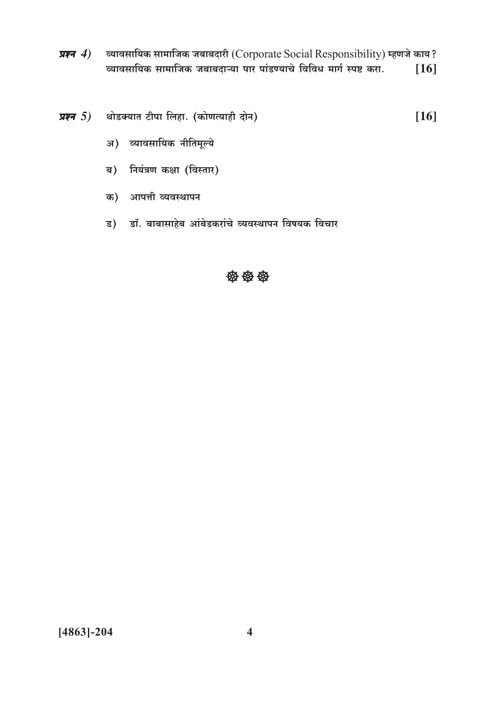- व्यावसायिक सामाजिक जबाबदारी (Corporate Social Responsibility) म्हणजे काय? प्रश्न $(4)$ व्यावसायिक सामाजिक जबाबदाऱ्या पार पांडण्याचे विविध मार्ग स्पष्ट करा.  $[16]$
- प्रश्न 5) थोडक्यात टीपा लिहा. (कोणत्याही दोन)  $[16]$ 
	- अ) व्यावसायिक नीतिमूल्ये
	- ब) नियंत्रण कक्षा (विस्तार)
	- क) आपत्ती व्यवस्थापन
	- ड) डॉ. बाबासाहेब आंबेडकरांचे व्यवस्थापन विषयक विचार

#### 69 69 69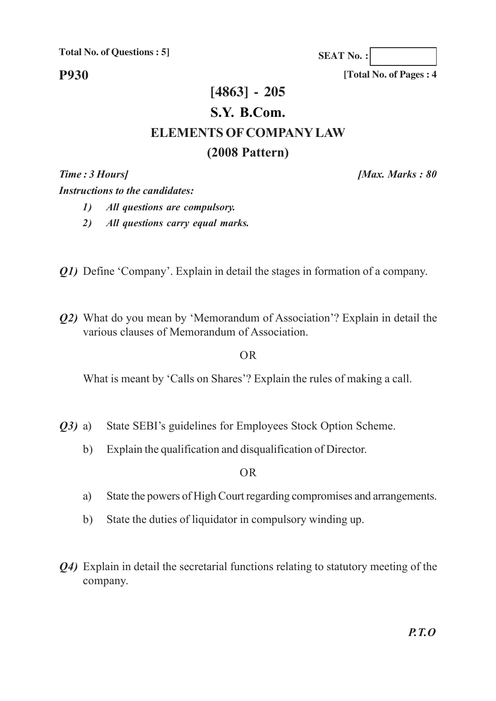**P930**

**SEAT No. :**

**[Total No. of Pages : 4**

## **[4863] - 205 S.Y. B.Com. ELEMENTS OF COMPANY LAW (2008 Pattern)**

*Time : 3 Hours] [Max. Marks : 80*

*Instructions to the candidates:*

- *1) All questions are compulsory.*
- *2) All questions carry equal marks.*
- *Q1*) Define 'Company'. Explain in detail the stages in formation of a company.
- *Q2)* What do you mean by 'Memorandum of Association'? Explain in detail the various clauses of Memorandum of Association.

#### OR

What is meant by 'Calls on Shares'? Explain the rules of making a call.

- *Q3)* a) State SEBI's guidelines for Employees Stock Option Scheme.
	- b) Explain the qualification and disqualification of Director.

OR

- a) State the powers of High Court regarding compromises and arrangements.
- b) State the duties of liquidator in compulsory winding up.
- *Q4)* Explain in detail the secretarial functions relating to statutory meeting of the company.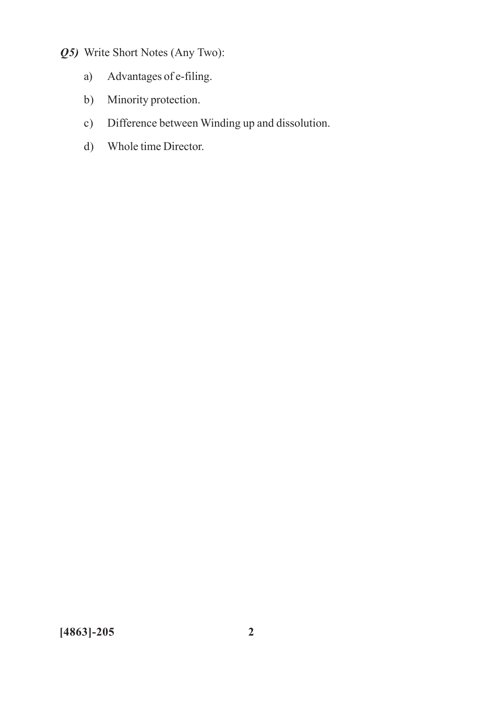- *Q5)* Write Short Notes (Any Two):
	- a) Advantages of e-filing.
	- b) Minority protection.
	- c) Difference between Winding up and dissolution.
	- d) Whole time Director.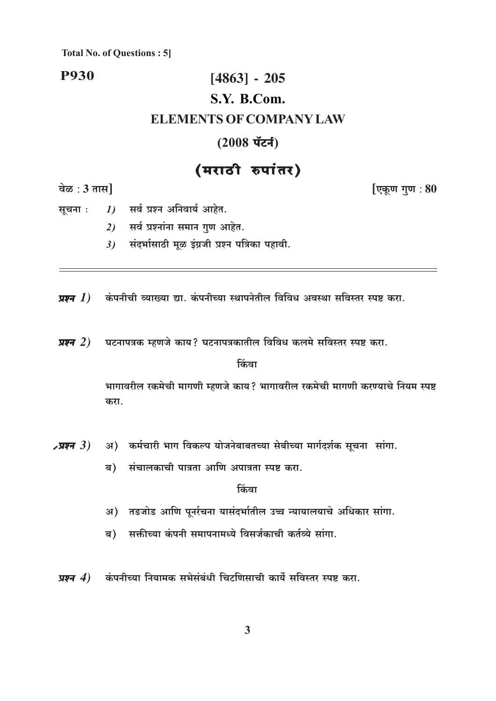#### **P930**

## $[4863] - 205$ S.Y. B.Com. **ELEMENTS OF COMPANY LAW**

#### $(2008 \text{ }\check{\text{u}}\check{\text{c}}\check{\text{f}})$

## (मराठी रुपांतर)

वेळ:  $3 \pi I$ 

[एकूण गुण : 80

1) सर्व प्रश्न अनिवार्य आहेत. सूचना :

- 2) सर्व प्रश्नांना समान गुण आहेत.
- $3$ ) संदर्भासाठी मूळ इंग्रजी प्रश्न पत्रिका पहावी.

प्रश्न  $I$ ) कंपनीची व्याख्या द्या. कंपनीच्या स्थापनेतील विविध अवस्था सविस्तर स्पष्ट करा.

घटनापत्रक म्हणजे काय? घटनापत्रकातील विविध कलमे सविस्तर स्पष्ट करा. प्रश्न $(2)$ 

किंवा

भागावरील रकमेची मागणी म्हणजे काय? भागावरील रकमेची मागणी करण्याचे नियम स्पष्ट करा.

- अ) कर्मचारी भाग विकल्प योजनेबाबतच्या सेबीच्या मार्गदर्शक सूचना सांगा.  $\lambda$ प्रश्न  $3)$ 
	- ब) संचालकाची पात्रता आणि अपात्रता स्पष्ट करा.

<u>किंवा</u>

- अ) तडजोड आणि पूर्नरचना यासंदर्भातील उच्च न्यायालयाचे अधिकार सांगा.
- सक्तीच्या कंपनी समापनामध्ये विसर्जकाची कर्तव्ये सांगा. ब)
- प्रश्न  $4$ ) कंपनीच्या नियामक सभेसंबंधी चिटणिसाची कार्ये सविस्तर स्पष्ट करा.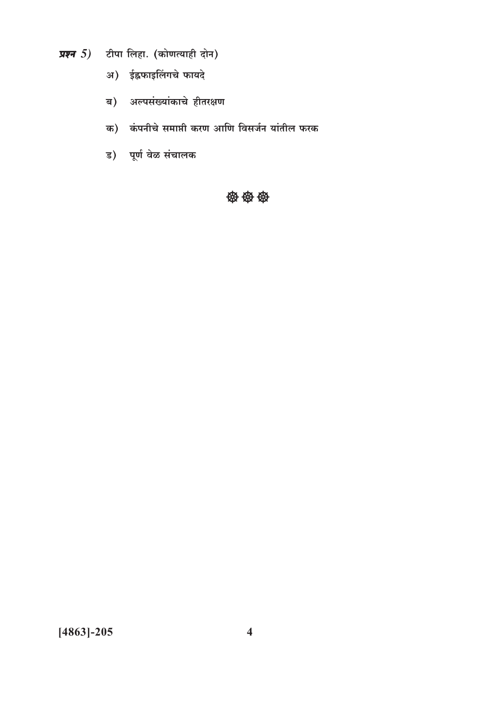- प्रश्न  $5$ ) टीपा लिहा. (कोणत्याही दोन)
	- अ) ईह्रफाइलिंगचे फायदे
	- ब) अल्पसंख्यांकाचे हीतरक्षण
	- क) कंपनीचे समाप्ती करण आणि विसर्जन यांतील फरक
	- ड) पूर्ण वेळ संचालक

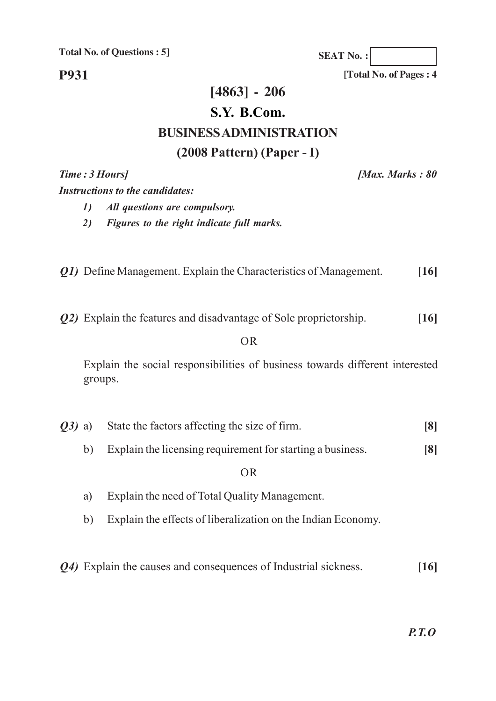**SEAT No. :**

**[Total No. of Pages : 4**

**P931**

### **[4863] - 206**

#### **S.Y. B.Com.**

### **BUSINESS ADMINISTRATION**

#### **(2008 Pattern) (Paper - I)**

*Time : 3 Hours] [Max. Marks : 80*

*Instructions to the candidates:*

- *1) All questions are compulsory.*
- *2) Figures to the right indicate full marks.*
- *Q1)* Define Management. Explain the Characteristics of Management. **[16]**
- *Q2)* Explain the features and disadvantage of Sole proprietorship. **[16]**

#### OR

Explain the social responsibilities of business towards different interested groups.

|  | Q3) a) State the factors affecting the size of firm. |  |
|--|------------------------------------------------------|--|
|  |                                                      |  |
|  |                                                      |  |

b) Explain the licensing requirement for starting a business. **[8]**

OR

- a) Explain the need of Total Quality Management.
- b) Explain the effects of liberalization on the Indian Economy.
- *Q4)* Explain the causes and consequences of Industrial sickness. **[16]**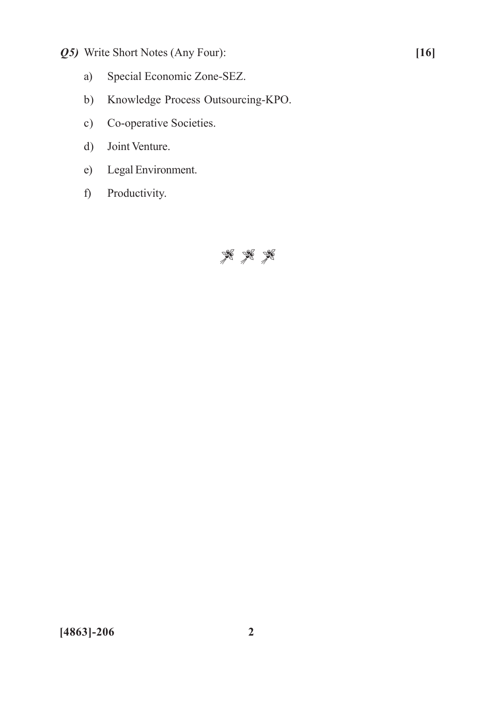- *Q5)* Write Short Notes (Any Four): **[16]**
	- a) Special Economic Zone-SEZ.
	- b) Knowledge Process Outsourcing-KPO.
	- c) Co-operative Societies.
	- d) Joint Venture.
	- e) Legal Environment.
	- f) Productivity.

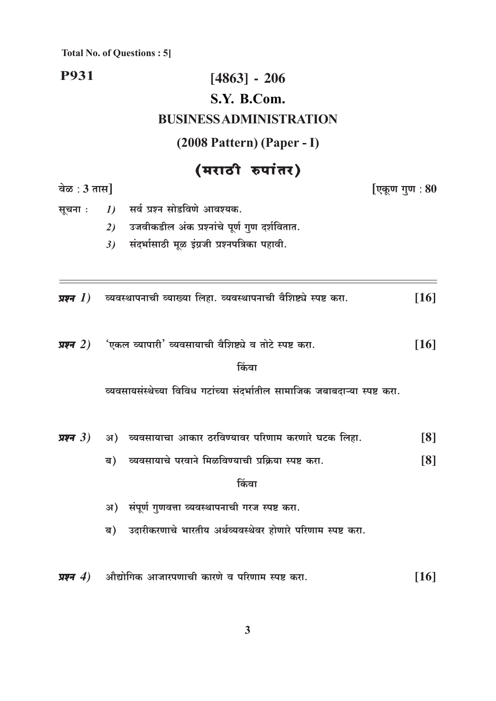#### **P931**  $[4863] - 206$ S.Y. B.Com. **BUSINESS ADMINISTRATION**  $(2008$  Pattern) (Paper - I) (मराठी रुपांतर) वेळ:  $3 \pi \mathfrak{m}$ [एकूण गुण : 80 सर्व प्रश्न सोडविणे आवश्यक. सूचना :  $I$ उजवीकडील अंक प्रश्नांचे पूर्ण गुण दर्शवितात.  $2)$ संदर्भासाठी मूळ इंग्रजी प्रश्नपत्रिका पहावी.  $3)$

| <b>प्रश्न 1</b> )     व्यवस्थापनाची व्याख्या लिहा. व्यवस्थापनाची वैशिष्ट्ये स्पष्ट करा.<br>$[16]$ |
|---------------------------------------------------------------------------------------------------|
|---------------------------------------------------------------------------------------------------|

'एकल व्यापारी' व्यवसायाची वैशिष्ट्ये व तोटे स्पष्ट करा. प्रश्न $(2)$  $[16]$ 

#### किंवा

व्यवसायसंस्थेच्या विविध गटांच्या संदर्भातील सामाजिक जबाबदाऱ्या स्पष्ट करा.

- अ) व्यवसायाचा आकार ठरविण्यावर परिणाम करणारे घटक लिहा. प्रश्न $(3)$  $\lceil 8 \rceil$ 
	- व्यवसायाचे परवाने मिळविण्याची प्रक्रिया स्पष्ट करा.  $[8]$ <u>ब)</u>

#### किंवा

- अ) संपूर्ण गुणवत्ता व्यवस्थापनाची गरज स्पष्ट करा.
- उदारीकरणाचे भारतीय अर्थव्यवस्थेवर होणारे परिणाम स्पष्ट करा. ब)
- प्रश्न $(4)$ औद्योगिक आजारपणाची कारणे व परिणाम स्पष्ट करा.  $[16]$

 $\overline{\mathbf{3}}$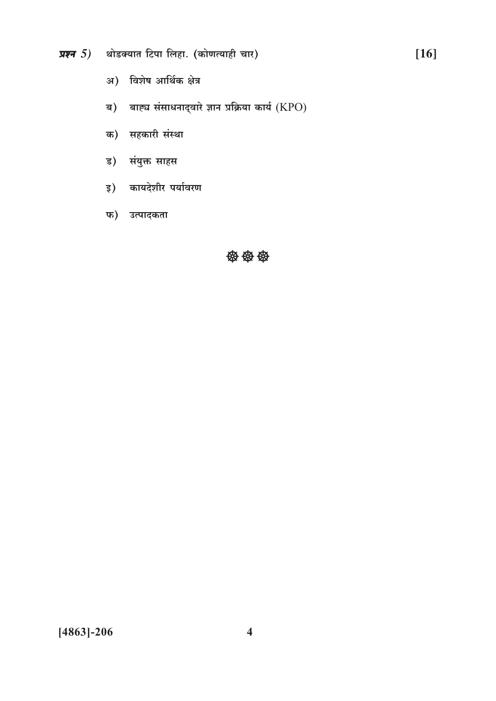- प्रश्न  $5$ ) थोडक्यात टिपा लिहा. (कोणत्याही चार)
	- अ) विशेष आर्थिक क्षेत्र
	- ब) बाह्य संसाधनाद्वारे ज्ञान प्रक्रिया कार्य  $(KPO)$
	- क) सहकारी संस्था
	- ड) संयुक्त साहस
	- इ) कायदेशीर पर्यावरण
	- फ) उत्पादकता

#### **安安安**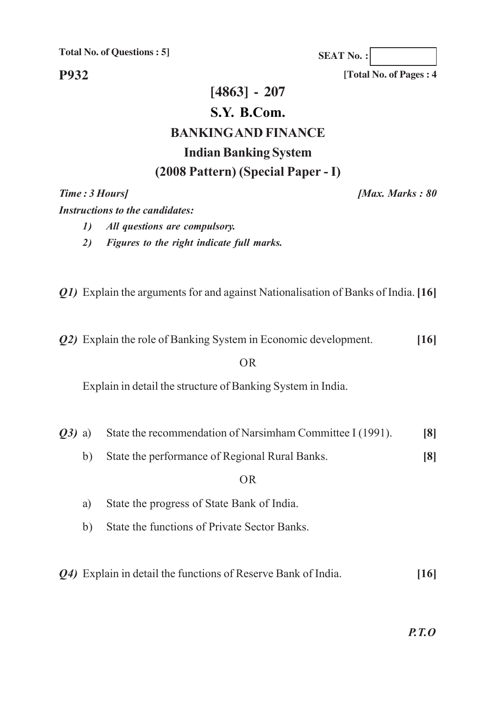**P932**

**SEAT No. :**

**[Total No. of Pages : 4**

## **[4863] - 207 S.Y. B.Com. BANKING AND FINANCE Indian Banking System (2008 Pattern) (Special Paper - I)**

*Time : 3 Hours] [Max. Marks : 80*

*Instructions to the candidates:*

- *1) All questions are compulsory.*
- *2) Figures to the right indicate full marks.*

*Q1)* Explain the arguments for and against Nationalisation of Banks of India.**[16]**

*Q2)* Explain the role of Banking System in Economic development. **[16]**

#### OR

Explain in detail the structure of Banking System in India.

- *Q3)* a) State the recommendation of Narsimham Committee I (1991). [8]
	- b) State the performance of Regional Rural Banks. **[8]**

#### OR

- a) State the progress of State Bank of India.
- b) State the functions of Private Sector Banks.
- *Q4)* Explain in detail the functions of Reserve Bank of India. **[16]**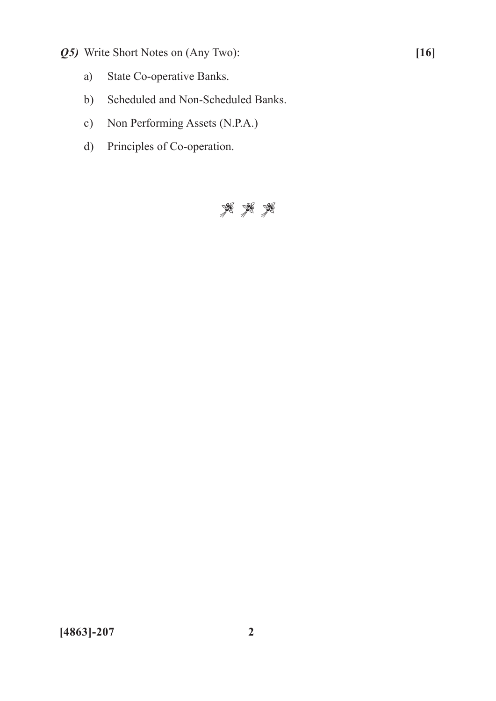- *Q5)* Write Short Notes on (Any Two): **[16]**
	- a) State Co-operative Banks.
	- b) Scheduled and Non-Scheduled Banks.
	- c) Non Performing Assets (N.P.A.)
	- d) Principles of Co-operation.

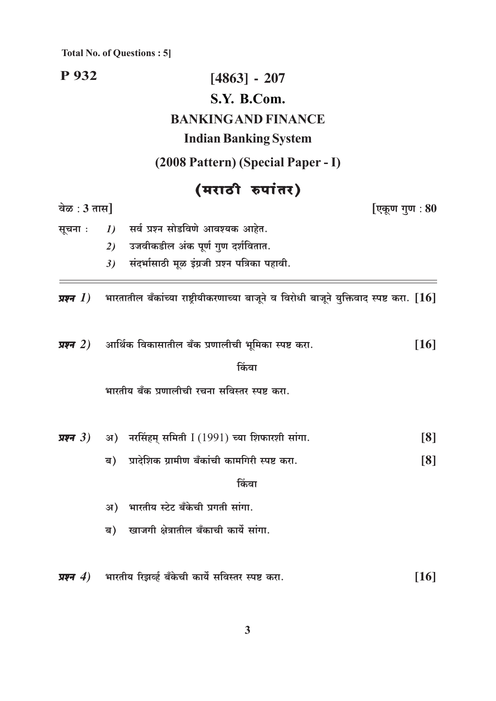P 932  $[4863] - 207$ S.Y. B.Com. **BANKINGAND FINANCE Indian Banking System** (2008 Pattern) (Special Paper - I) (मराठी रुपांतर) [एकूण गुण : 80 वेळ:  $3 \pi \mathbf{H}$ सर्व प्रश्न सोडविणे आवश्यक आहेत. सूचना :  $\boldsymbol{\mathit{1}}$ उजवीकडील अंक पूर्ण गुण दर्शवितात.  $2)$ संदर्भासाठी मूळ इंग्रजी प्रश्न पत्रिका पहावी.  $3)$ भारतातील बँकांच्या राष्ट्रीयीकरणाच्या बाजूने व विरोधी बाजूने युक्तिवाद स्पष्ट करा.  $\bm{[16]}$ प्रश्न $(1)$ आर्थिक विकासातील बँक प्रणालीची भूमिका स्पष्ट करा. प्रश्न $(2)$ किंवा भारतीय बँक प्रणालीची रचना सविस्तर स्पष्ट करा. अ) नरसिंहम् समिती I (1991) च्या शिफारशी सांगा. प्रश्न $3)$ प्रादेशिक ग्रामीण बँकांची कामगिरी स्पष्ट करा. ब)

किंवा

 $[16]$ 

[8]

 $[8]$ 

- अ) भारतीय स्टेट बँकेची प्रगती सांगा.
- खाजगी क्षेत्रातील बँकाची कार्ये सांगा. ब)
- भारतीय रिझर्व्ह बँकेची कार्ये सविस्तर स्पष्ट करा.  $[16]$ प्रश्न $\left( 4\right)$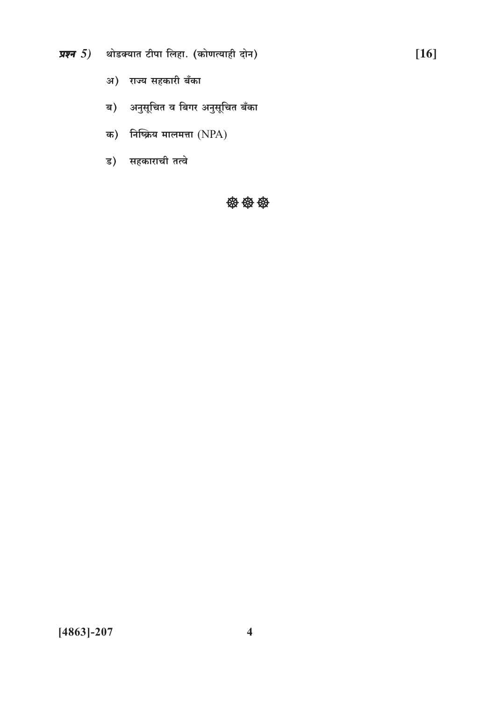- प्रश्न  $5$ ) थोडक्यात टीपा लिहा. (कोणत्याही दोन)
	- अ) राज्य सहकारी बँका
	- ब) अनुसूचित व बिगर अनुसूचित बँका
	- क) निष्क्रिय मालमत्ता  $(NPA)$
	- ड) सहकाराची तत्वे

密密袋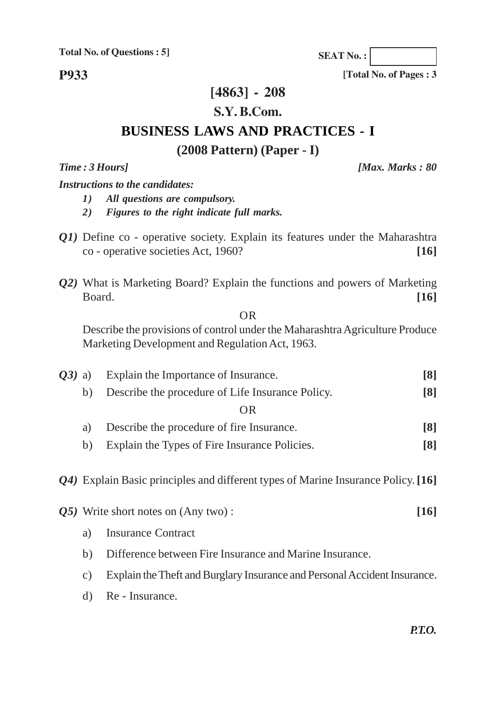**SEAT No. :**

**P933**

#### **[4863] - 208**

#### **S.Y. B.Com.**

### **BUSINESS LAWS AND PRACTICES - I**

#### **(2008 Pattern) (Paper - I)**

*Time : 3 Hours] [Max. Marks : 80*

**[Total No. of Pages : 3**

*Instructions to the candidates:*

- *1) All questions are compulsory.*
- *2) Figures to the right indicate full marks.*
- *Q1*) Define co operative society. Explain its features under the Maharashtra co - operative societies Act, 1960? **[16]**
- *Q2)* What is Marketing Board? Explain the functions and powers of Marketing Board. **[16]**

OR

Describe the provisions of control under the Maharashtra Agriculture Produce Marketing Development and Regulation Act, 1963.

| $O(3)$ a) | Explain the Importance of Insurance.                                                         |                                                         | $\lceil 8 \rceil$ |  |
|-----------|----------------------------------------------------------------------------------------------|---------------------------------------------------------|-------------------|--|
|           | b)                                                                                           | Describe the procedure of Life Insurance Policy.        | $\lceil 8 \rceil$ |  |
|           | <b>OR</b>                                                                                    |                                                         |                   |  |
|           | Describe the procedure of fire Insurance.<br>a)                                              |                                                         |                   |  |
|           | b)                                                                                           | Explain the Types of Fire Insurance Policies.           | $\lceil 8 \rceil$ |  |
|           | Q4) Explain Basic principles and different types of Marine Insurance Policy. [16]            |                                                         |                   |  |
|           |                                                                                              | $\overline{0.05}$ Write short notes on (Any two):       | [16]              |  |
|           | a)                                                                                           | <b>Insurance Contract</b>                               |                   |  |
|           | b)                                                                                           | Difference between Fire Insurance and Marine Insurance. |                   |  |
|           | Explain the Theft and Burglary Insurance and Personal Accident Insurance.<br>$\mathcal{C}$ ) |                                                         |                   |  |
|           |                                                                                              |                                                         |                   |  |

d) Re - Insurance.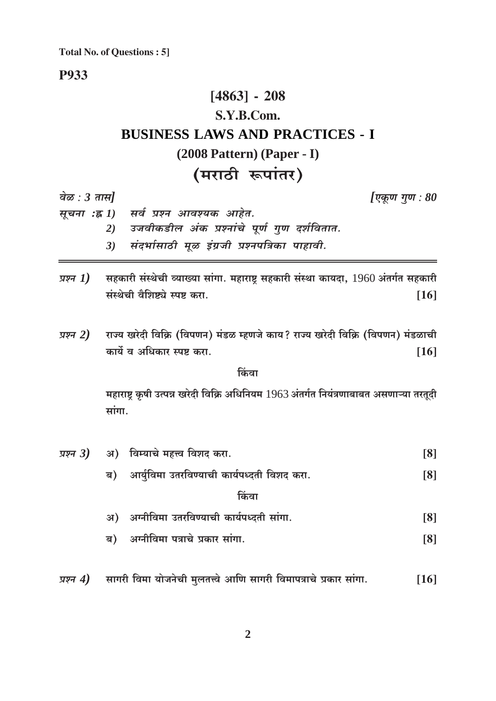#### **P933**

## $[4863] - 208$ S.Y.B.Com. **BUSINESS LAWS AND PRACTICES - I** (2008 Pattern) (Paper - I) (मराठी रूपांतर)

वेळ :  $3 \pi H$ 

[एकूण गुण :  $80$ 

- सूचना :ह्र 1) सर्व प्रश्न आवश्यक आहेत.
	- 2) उजवीकडील अंक प्रश्नांचे पूर्ण गुण दर्शवितात.
	- संदर्भासाठी मूळ इंग्रजी प्रश्नपत्रिका पाहावी.  $3)$
- सहकारी संस्थेची व्याख्या सांगा. महाराष्ट्र सहकारी संस्था कायदा, 1960 अंतर्गत सहकारी प्रश्न  $1)$ संस्थेची वैशिष्ट्ये स्पष्ट करा.  $[16]$
- राज्य खरेदी विक्रि (विपणन) मंडळ म्हणजे काय? राज्य खरेदी विक्रि (विपणन) मंडळाची प्रश्न 2) कार्ये व अधिकार स्पष्ट करा.  $[16]$

किंवा

महाराष्ट्र कृषी उत्पन्न खरेदी विक्रि अधिनियम 1963 अंतर्गत नियंत्रणाबाबत असणाऱ्या तरतूदी सांगा.

|  | <i>प्रश्न 3</i> ) अ) विम्याचे महत्त्व विशद करा. | $\lceil 8 \rceil$ |
|--|-------------------------------------------------|-------------------|
|  | ब) आर्युविमा उतरविण्याची कार्यपध्दती विशद करा.  | [8]               |
|  | किंवा                                           |                   |
|  | अ) अग्नीविमा उतरविण्याची कार्यपध्दती सांगा.     | [8]               |
|  | ब) अग्नीविमा पत्राचे प्रकार सांगा.              | $\lceil 8 \rceil$ |
|  |                                                 |                   |

प्रश्न 4) सागरी विमा योजनेची मुलतत्त्वे आणि सागरी विमापत्राचे प्रकार सांगा.  $[16]$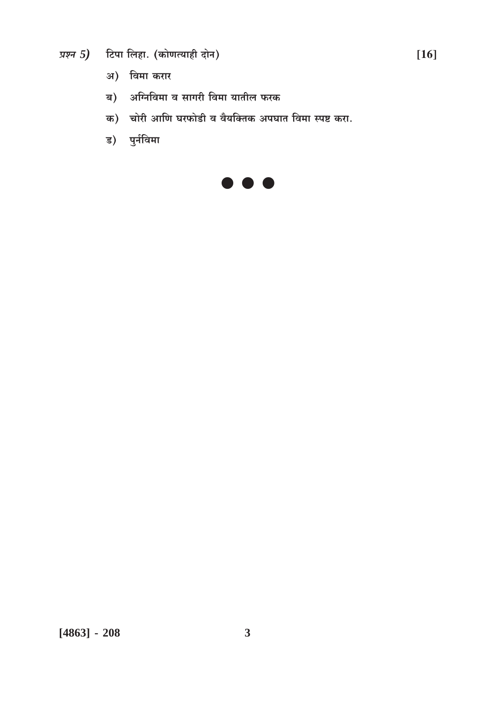- प्रश्न 5) टिपा लिहा. (कोणत्याही दोन)
	- अ) विमा करार
	- ब) अग्निविमा व सागरी विमा यातील फरक
	- क) चोरी आणि घरफोडी व वैयक्तिक अपघात विमा स्पष्ट करा.
	- ड) पुर्नविमा

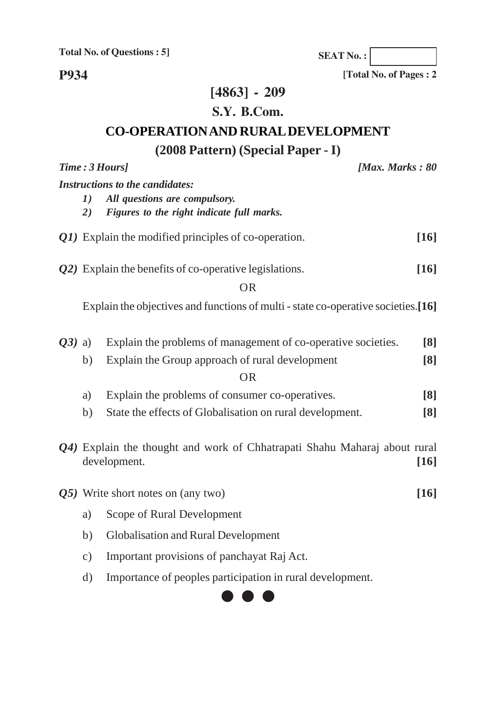**SEAT No. :**

**[Total No. of Pages : 2**

**P934**

## **[4863] - 209**

### **S.Y. B.Com.**

## **CO-OPERATION AND RURAL DEVELOPMENT**

## **(2008 Pattern) (Special Paper - I)**

|           |               | Time: 3 Hours]<br>[Max. Marks: $80$                                                       |                    |
|-----------|---------------|-------------------------------------------------------------------------------------------|--------------------|
|           |               | <b>Instructions to the candidates:</b>                                                    |                    |
|           | 1)            | All questions are compulsory.                                                             |                    |
|           | 2)            | Figures to the right indicate full marks.                                                 |                    |
|           |               | Q1) Explain the modified principles of co-operation.                                      | $[16]$             |
|           |               | Q2) Explain the benefits of co-operative legislations.                                    | $[16]$             |
|           |               | <b>OR</b>                                                                                 |                    |
|           |               | Explain the objectives and functions of multi - state co-operative societies.[16]         |                    |
| $(23)$ a) |               | Explain the problems of management of co-operative societies.                             | [8]                |
|           | b)            | Explain the Group approach of rural development                                           | [8]                |
|           |               | <b>OR</b>                                                                                 |                    |
|           | a)            | Explain the problems of consumer co-operatives.                                           | [8]                |
|           | b)            | State the effects of Globalisation on rural development.                                  | [8]                |
|           |               | Q4) Explain the thought and work of Chhatrapati Shahu Maharaj about rural<br>development. | $[16]$             |
|           |               | Q5) Write short notes on (any two)                                                        | $\lceil 16 \rceil$ |
|           | a)            | Scope of Rural Development                                                                |                    |
|           | b)            | <b>Globalisation and Rural Development</b>                                                |                    |
|           | $\mathbf{c})$ | Important provisions of panchayat Raj Act.                                                |                    |
|           | $\mathbf{d}$  | Importance of peoples participation in rural development.                                 |                    |

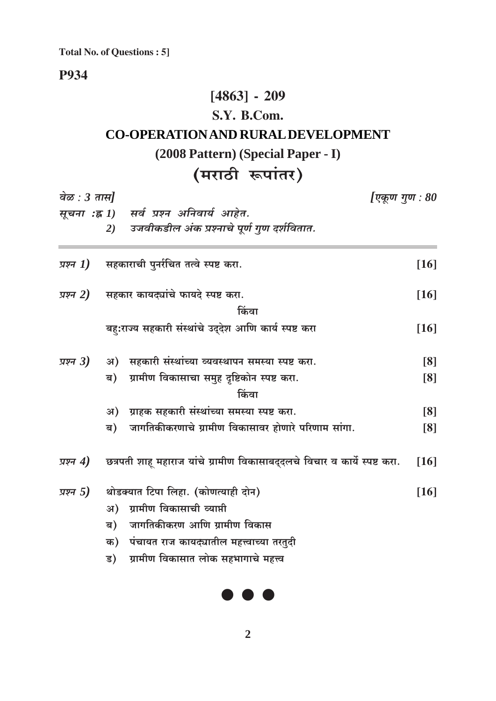### **P934**

### $[4863] - 209$

### S.Y. B.Com.

## **CO-OPERATION AND RURAL DEVELOPMENT**

## (2008 Pattern) (Special Paper - I)

## (मराठी रूपांतर)

| वेळ : 3 तास]<br>[एकूण गुण : 80 |    |                                                                            |                    |
|--------------------------------|----|----------------------------------------------------------------------------|--------------------|
|                                |    | सूचना :ह्न 1) सर्व प्रश्न अनिवार्य आहेत.                                   |                    |
|                                | 2) | उजवीकडील अंक प्रश्नाचे पूर्ण गुण दर्शवितात.                                |                    |
| प्रश्न $1)$                    |    | सहकाराची पुनर्रचित तत्वे स्पष्ट करा.                                       | $[16]$             |
| प्रश्न 2)                      |    | सहकार कायद्यांचे फायदे स्पष्ट करा.                                         | $[16]$             |
|                                |    | किंवा                                                                      |                    |
|                                |    | बह:राज्य सहकारी संस्थांचे उद्देश आणि कार्य स्पष्ट करा                      | $[16]$             |
| प्रश्न $3)$                    | अ) | ्सहकारी संस्थांच्या व्यवस्थापन समस्या स्पष्ट करा.                          | [8]                |
|                                | ब) | ग्रामीण विकासाचा समुह दृष्टिकोन स्पष्ट करा.                                | $\lceil 8 \rceil$  |
|                                |    | किंवा                                                                      |                    |
|                                | अ) | ग्राहक सहकारी संस्थांच्या समस्या स्पष्ट करा.                               | $\lceil 8 \rceil$  |
|                                | ब) | जागतिकीकरणाचे ग्रामीण विकासावर होणारे परिणाम सांगा.                        | $\lceil 8 \rceil$  |
| प्रश्न $4)$                    |    | छत्रपती शाहू महाराज यांचे ग्रामीण विकासाबद्दलचे विचार व कार्ये स्पष्ट करा. | [16]               |
| प्रश्न $5)$                    |    | थोडक्यात टिपा लिहा. (कोणत्याही दोन)                                        | $\lceil 16 \rceil$ |
|                                | अ) | ग्रामीण विकासाची व्याप्ती                                                  |                    |
|                                | ब) | जागतिकीकरण आणि ग्रामीण विकास                                               |                    |
|                                | क) | पंचायत राज कायद्यातील महत्त्वाच्या तरतुदी                                  |                    |
|                                | ड) | ग्रामीण विकासात लोक सहभागाचे महत्त्व                                       |                    |
|                                |    |                                                                            |                    |

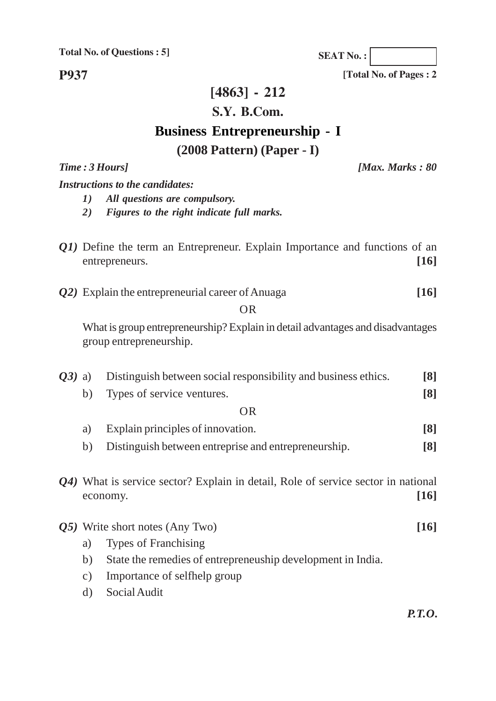**SEAT No. :**

**P937**

### **[4863] - 212**

#### **S.Y. B.Com.**

# **Business Entrepreneurship - I**

### **(2008 Pattern) (Paper - I)**

*Time : 3 Hours] [Max. Marks : 80*

**[Total No. of Pages : 2**

*Instructions to the candidates:*

- *1) All questions are compulsory.*
- *2) Figures to the right indicate full marks.*
- *Q1*) Define the term an Entrepreneur. Explain Importance and functions of an entrepreneurs. **[16]**
- *Q2)* Explain the entrepreneurial career of Anuaga **[16]**

OR

What is group entrepreneurship? Explain in detail advantages and disadvantages group entrepreneurship.

| Q3) | Distinguish between social responsibility and business ethics.<br>a) |                                                                                               |                   |
|-----|----------------------------------------------------------------------|-----------------------------------------------------------------------------------------------|-------------------|
|     | b)                                                                   | Types of service ventures.                                                                    | $\lceil 8 \rceil$ |
|     |                                                                      | <b>OR</b>                                                                                     |                   |
|     | a)                                                                   | Explain principles of innovation.                                                             | $\lceil 8 \rceil$ |
|     | b)                                                                   | Distinguish between entreprise and entrepreneurship.                                          | [8]               |
|     |                                                                      | Q4) What is service sector? Explain in detail, Role of service sector in national<br>economy. | [16]              |
|     |                                                                      | $Q5$ ) Write short notes (Any Two)                                                            | [16]              |
|     | a)                                                                   | <b>Types of Franchising</b>                                                                   |                   |
|     | b)                                                                   | State the remedies of entrepreneuship development in India.                                   |                   |
|     | Importance of selfhelp group<br>$\mathcal{C}$ )                      |                                                                                               |                   |

d) Social Audit

*P.T.O.*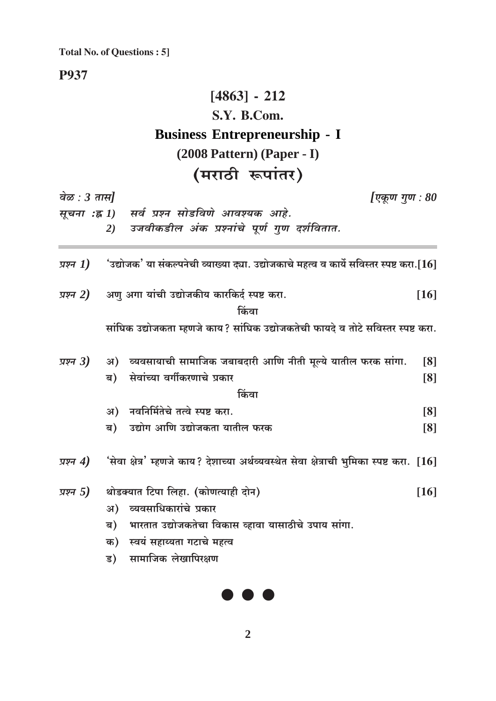**P937** 

## $[4863] - 212$ S.Y. B.Com. **Business Entrepreneurship - I**  $(2008$  Pattern $)$  (Paper - I) (मराठी रूपांतर)

| वेळ : $3 \pi \overline{n}$ |                                                                 |                                                      | [एकूण गुण : 80                                                                                   |
|----------------------------|-----------------------------------------------------------------|------------------------------------------------------|--------------------------------------------------------------------------------------------------|
|                            | सूचना :ह्र 1) सर्व प्रश्न सोडविणे आवश्यक आहे.                   |                                                      |                                                                                                  |
|                            | 2)                                                              | उजवीकडील अंक प्रश्नांचे पूर्ण गुण दर्शवितात.         |                                                                                                  |
| प्रश्न $1)$                |                                                                 |                                                      | ंउद्योजक' या संकल्पनेची व्याख्या द्या. उद्योजकाचे महत्व व कार्ये सविस्तर स्पष्ट करा.[ $16]$      |
| प्रश्न 2)                  | अणु अगा यांची उद्योजकीय कारकिर्द स्पष्ट करा.                    | किंवा                                                | $[16]$                                                                                           |
|                            |                                                                 |                                                      | सांघिक उद्योजकता म्हणजे काय? सांघिक उद्योजकतेची फायदे व तोटे सविस्तर स्पष्ट करा.                 |
| प्रश्न $3)$                | अ) व्यवसायाची सामाजिक जबाबदारी आणि नीती मूल्ये यातील फरक सांगा. |                                                      | [8]                                                                                              |
|                            | सेवांच्या वर्गीकरणाचे प्रकार<br>ब)                              |                                                      | [8]                                                                                              |
|                            |                                                                 | किंवा                                                |                                                                                                  |
|                            | अ) नवनिर्मितेचे तत्वे स्पष्ट करा.                               |                                                      |                                                                                                  |
|                            |                                                                 |                                                      | [8]                                                                                              |
|                            | उद्योग आणि उद्योजकता यातील फरक<br>ब)                            |                                                      | [8]                                                                                              |
| प्रश्न $4)$                |                                                                 |                                                      | 'सेवा क्षेत्र' म्हणजे काय? देशाच्या अर्थव्यवस्थेत सेवा क्षेत्राची भुमिका स्पष्ट करा. $\bm{[16]}$ |
| प्रश्न $5)$                | थोडक्यात टिपा लिहा. (कोणत्याही दोन)                             |                                                      | $[16]$                                                                                           |
|                            | अ) व्यवसाधिकारांचे प्रकार                                       |                                                      |                                                                                                  |
|                            | ब)                                                              | भारतात उद्योजकतेचा विकास व्हावा यासाठीचे उपाय सांगा. |                                                                                                  |
|                            | क) स्वयं सहाय्यता गटाचे महत्व                                   |                                                      |                                                                                                  |
|                            |                                                                 |                                                      |                                                                                                  |
|                            | सामाजिक लेखापिरक्षण<br>ड)                                       |                                                      |                                                                                                  |
|                            |                                                                 |                                                      |                                                                                                  |



 $\overline{2}$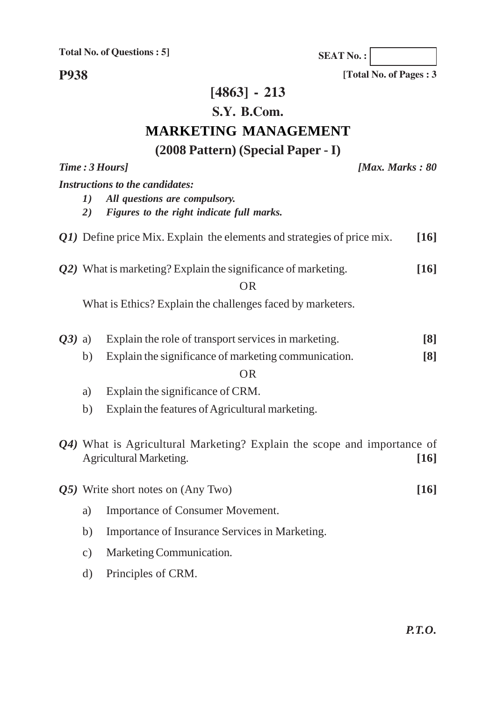**SEAT No. :**

**[Total No. of Pages : 3**

**P938**

## **[4863] - 213**

### **S.Y. B.Com.**

## **MARKETING MANAGEMENT**

## **(2008 Pattern) (Special Paper - I)**

|           |               | Time: 3 Hours]                                                                                            | [Max. Marks: $80$ |
|-----------|---------------|-----------------------------------------------------------------------------------------------------------|-------------------|
|           |               | <b>Instructions to the candidates:</b>                                                                    |                   |
|           | 1)            | All questions are compulsory.                                                                             |                   |
|           | 2)            | Figures to the right indicate full marks.                                                                 |                   |
|           |               | $QI$ ) Define price Mix. Explain the elements and strategies of price mix.                                | [16]              |
|           |               | Q2) What is marketing? Explain the significance of marketing.                                             | $[16]$            |
|           |               | <b>OR</b>                                                                                                 |                   |
|           |               | What is Ethics? Explain the challenges faced by marketers.                                                |                   |
|           |               |                                                                                                           |                   |
| $(03)$ a) |               | Explain the role of transport services in marketing.                                                      | $\lceil 8 \rceil$ |
|           | b)            | Explain the significance of marketing communication.                                                      | [8]               |
|           |               | <b>OR</b>                                                                                                 |                   |
|           | a)            | Explain the significance of CRM.                                                                          |                   |
|           | b)            | Explain the features of Agricultural marketing.                                                           |                   |
|           |               | Q4) What is Agricultural Marketing? Explain the scope and importance of<br><b>Agricultural Marketing.</b> | $[16]$            |
|           |               | Q5) Write short notes on (Any Two)                                                                        | $[16]$            |
|           | a)            | Importance of Consumer Movement.                                                                          |                   |
|           | b)            | Importance of Insurance Services in Marketing.                                                            |                   |
|           | $\mathbf{c})$ | Marketing Communication.                                                                                  |                   |
|           | $\rm d)$      | Principles of CRM.                                                                                        |                   |
|           |               |                                                                                                           |                   |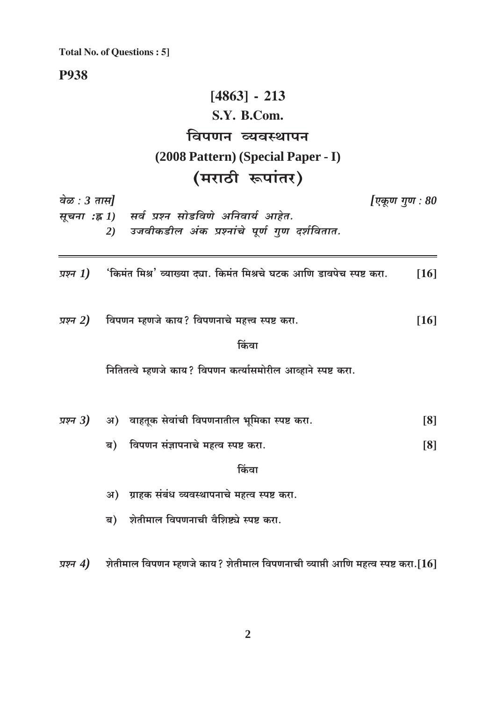**P938** 

#### $[4863] - 213$ S.Y. B.Com. विपणन व्यवस्थापन (2008 Pattern) (Special Paper - I)  $\mathbf{r}$  $\sim$  $\bullet$

|                               | (मराठी रूपातर)                                                                           |                    |
|-------------------------------|------------------------------------------------------------------------------------------|--------------------|
| वेळ : 3 तास]<br>सूचना :ह्न 1) | सर्व प्रश्न सोडविणे अनिवार्य आहेत.<br>उजवीकडील अंक प्रश्नांचे पूर्ण गुण दर्शवितात.<br>2) | [एकूण गुण : $80$   |
| प्रश्न 1)                     | 'किमंत मिश्र' व्याख्या द्या. किमंत मिश्रचे घटक आणि डावपेच स्पष्ट करा.                    | $\lceil 16 \rceil$ |
|                               | <i>प्रश्न 2</i> ) विपणन म्हणजे काय? विपणनाचे महत्त्व स्पष्ट करा.<br>किंवा                | $[16]$             |
|                               | नितितत्वे म्हणजे काय? विपणन कर्त्यासमोरील आव्हाने स्पष्ट करा.                            |                    |
|                               | <i>प्रश्न 3</i> ) अ) वाहतूक सेवांची विपणनातील भूमिका स्पष्ट करा.                         | [8]                |
|                               | विपणन संज्ञापनाचे महत्व स्पष्ट करा.<br>ब)                                                | $\lceil 8 \rceil$  |
|                               | किंवा                                                                                    |                    |
|                               | अ) प्राहक संबंध व्यवस्थापनाचे महत्व स्पष्ट करा.                                          |                    |
|                               | शेतीमाल विपणनाची वैशिष्ट्ये स्पष्ट करा.<br>ब)                                            |                    |
| प्रश्न $4)$                   | शेतीमाल विपणन म्हणजे काय? शेतीमाल विपणनाची व्याप्ती आणि महत्व स्पष्ट करा.[ $16$ ]        |                    |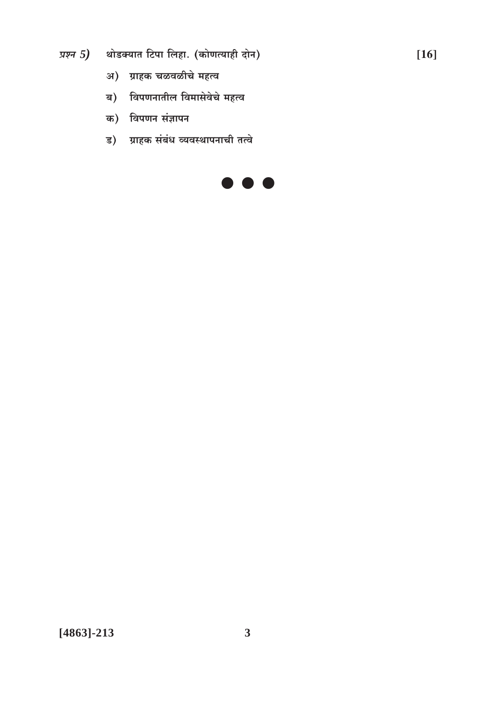- प्रश्न  $5$ ) थोडक्यात टिपा लिहा. (कोणत्याही दोन)
	- अ) ग्राहक चळवळीचे महत्व
	- ब) विपणनातील विमासेवेचे महत्व
	- क) विपणन संज्ञापन
	- ड) ग्राहक संबंध व्यवस्थापनाची तत्वे

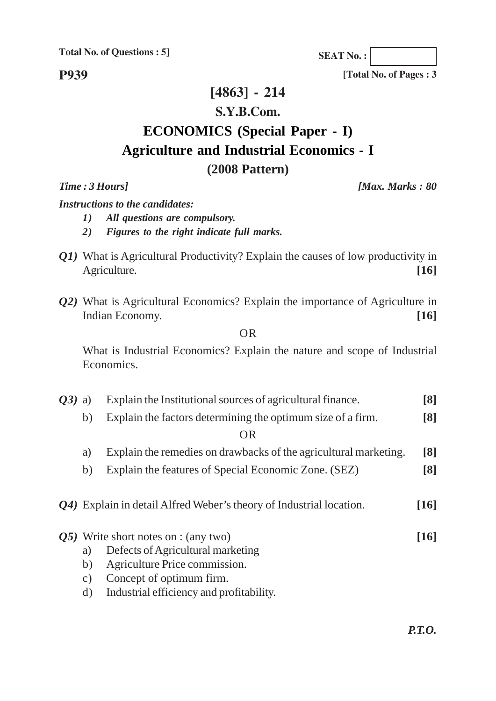**SEAT No. :**

**[Total No. of Pages : 3**

**P939**

#### **[4863] - 214**

#### **S.Y.B.Com.**

## **ECONOMICS (Special Paper - I) Agriculture and Industrial Economics - I (2008 Pattern)**

*Time : 3 Hours] [Max. Marks : 80*

*Instructions to the candidates:*

- *1) All questions are compulsory.*
	- *2) Figures to the right indicate full marks.*
- *Q1*) What is Agricultural Productivity? Explain the causes of low productivity in Agriculture. **[16]**
- *Q2)* What is Agricultural Economics? Explain the importance of Agriculture in Indian Economy. **[16]**

#### OR

What is Industrial Economics? Explain the nature and scope of Industrial Economics.

- *Q3)* a) Explain the Institutional sources of agricultural finance. **[8]**
	- b) Explain the factors determining the optimum size of a firm. **[8]**

OR

- a) Explain the remedies on drawbacks of the agricultural marketing. **[8]**
- b) Explain the features of Special Economic Zone. (SEZ) **[8]**
- *Q4)* Explain in detail Alfred Weber's theory of Industrial location. **[16]**
- *Q5)* Write short notes on : (any two) **[16]**
	- a) Defects of Agricultural marketing
	- b) Agriculture Price commission.
	- c) Concept of optimum firm.
	- d) Industrial efficiency and profitability.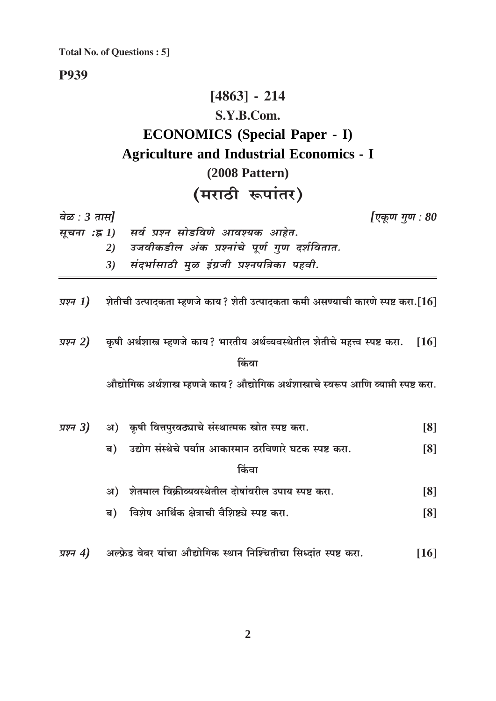**P939** 

## $[4863] - 214$ S.Y.B.Com. **ECONOMICS** (Special Paper - I) **Agriculture and Industrial Economics - I**  $(2008$  Pattern)

## (मराठी रूपांतर)

| वेळ : $3 \pi \mathcal{H}$ |    |                                                                                          | [एकूण गुण : 80    |
|---------------------------|----|------------------------------------------------------------------------------------------|-------------------|
| सूचना :ह्न 1)             |    | सर्व प्रश्न सोडविणे आवश्यक आहेत.                                                         |                   |
|                           | 2) | उजवीकडील अंक प्रश्नांचे पूर्ण गुण दर्शवितात.                                             |                   |
|                           | 3) | संदर्भासाठी मुळ इंग्रजी प्रश्नपत्रिका पहवी.                                              |                   |
| प्रश्न 1)                 |    | ्शेतीची उत्पादकता म्हणजे काय? शेती उत्पादकता कमी असण्याची कारणे स्पष्ट करा.[ $16\vert$   |                   |
| प्रश्न 2)                 |    | कृषी अर्थशास्त्र म्हणजे काय? भारतीय अर्थव्यवस्थेतील शेतीचे महत्त्व स्पष्ट करा.           | [16]              |
|                           |    | किंवा                                                                                    |                   |
|                           |    | औद्योगिक अर्थशास्त्र म्हणजे काय? औद्योगिक अर्थशास्त्राचे स्वरूप आणि व्याप्ती स्पष्ट करा. |                   |
| प्रश्न 3)                 |    | अ) कृषी वित्तपुरवठ्याचे संस्थात्मक स्त्रोत स्पष्ट करा.                                   | $\lceil 8 \rceil$ |
|                           | ब) | उद्योग संस्थेचे पर्याप्त आकारमान ठरविणारे घटक स्पष्ट करा.                                | $\lceil 8 \rceil$ |
|                           |    | किंवा                                                                                    |                   |
|                           |    | अ) शेतमाल विक्रीव्यवस्थेतील दोषांवरील उपाय स्पष्ट करा.                                   | $\lceil 8 \rceil$ |
|                           | ब) | विशेष आर्थिक क्षेत्राची वैशिष्ट्ये स्पष्ट करा.                                           | $\lceil 8 \rceil$ |
|                           |    |                                                                                          |                   |

प्रश्न 4) अल्फ्रेड वेबर यांचा औद्योगिक स्थान निश्चितीचा सिध्दांत स्पष्ट करा.  $[16]$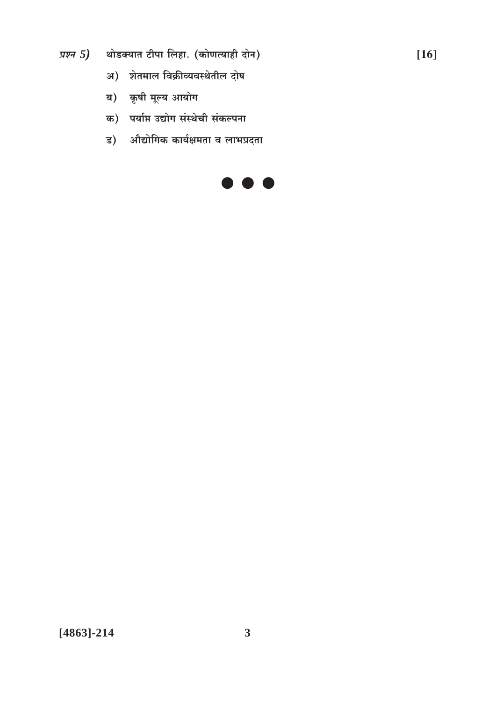प्रश्न  $5$ ) शोडक्यात टीपा लिहा. (कोणत्याही दोन)

- अ) शेतमाल विक्रीव्यवस्थेतील दोष
- ब) कृषी मूल्य आयोग
- क) पर्याप्त उद्योग संस्थेची संकल्पना
- ड) औद्योगिक कार्यक्षमता व लाभप्रदता



 $[16]$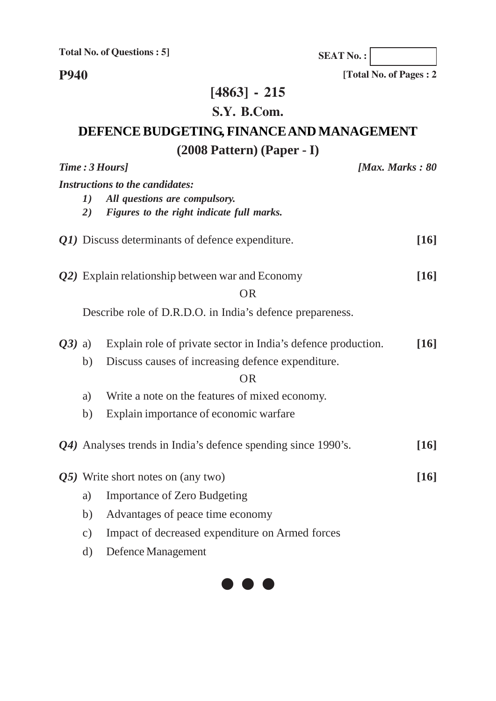**SEAT No. :**

**[Total No. of Pages : 2**

**P940**

## **[4863] - 215**

## **S.Y. B.Com.**

## **DEFENCE BUDGETING, FINANCE AND MANAGEMENT (2008 Pattern) (Paper - I)**

|          | Time: 3 Hours] | [Max. Marks: $80$                                             |                    |
|----------|----------------|---------------------------------------------------------------|--------------------|
|          |                | <b>Instructions to the candidates:</b>                        |                    |
|          | 1)             | All questions are compulsory.                                 |                    |
|          | 2)             | Figures to the right indicate full marks.                     |                    |
|          |                | Q1) Discuss determinants of defence expenditure.              | $[16]$             |
|          |                | Q2) Explain relationship between war and Economy              | $[16]$             |
|          |                | <b>OR</b>                                                     |                    |
|          |                | Describe role of D.R.D.O. in India's defence prepareness.     |                    |
| $Q3)$ a) |                | Explain role of private sector in India's defence production. | $\lceil 16 \rceil$ |
|          | b)             | Discuss causes of increasing defence expenditure.             |                    |
|          |                | <b>OR</b>                                                     |                    |
|          | a)             | Write a note on the features of mixed economy.                |                    |
|          | b)             | Explain importance of economic warfare                        |                    |
|          |                | Q4) Analyses trends in India's defence spending since 1990's. | $\lceil 16 \rceil$ |
|          |                | Q5) Write short notes on (any two)                            | $[16]$             |
|          | a)             | <b>Importance of Zero Budgeting</b>                           |                    |
|          | b)             | Advantages of peace time economy                              |                    |
|          | $\mathbf{c})$  | Impact of decreased expenditure on Armed forces               |                    |
|          | $\rm d)$       | Defence Management                                            |                    |

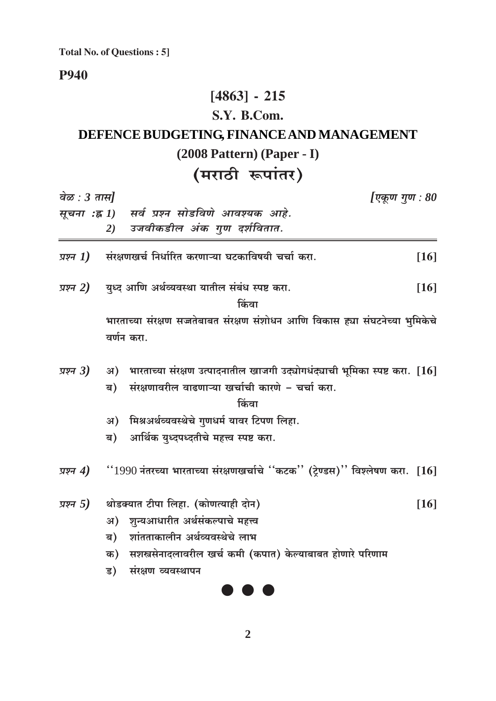**P940** 

## $[4863] - 215$

### S.Y. B.Com.

## DEFENCE BUDGETING, FINANCE AND MANAGEMENT  $(2008$  Pattern $)$  (Paper - I)

## (मराठी रूपांतर)

| वेळ : 3 तास]<br>[एकूण गुण : 80 |    |                                                                                      |        |
|--------------------------------|----|--------------------------------------------------------------------------------------|--------|
| सूचना :ह्न 1)                  |    | सर्व प्रश्न सोडविणे आवश्यक आहे.                                                      |        |
|                                | 2) | उजवीकडील अंक गुण दर्शवितात.                                                          |        |
| प्रश्न $I)$                    |    | संरक्षणखर्च निर्धारित करणाऱ्या घटकाविषयी चर्चा करा.                                  | $[16]$ |
| प्रश्न 2)                      |    | युध्द आणि अर्थव्यवस्था यातील संबंध स्पष्ट करा.<br>किंवा                              | $[16]$ |
|                                |    | भारताच्या संरक्षण सज्जतेबाबत संरक्षण संशोधन आणि विकास ह्या संघटनेच्या भुमिकेचे       |        |
|                                |    | वर्णन करा.                                                                           |        |
| प्रश्न 3)                      |    | अ) भारताच्या संरक्षण उत्पादनातील खाजगी उद्योगधंद्याची भूमिका स्पष्ट करा. [16]        |        |
|                                | ब) | संरक्षणावरील वाढणाऱ्या खर्चाची कारणे - चर्चा करा.                                    |        |
|                                |    | किंवा                                                                                |        |
|                                | अ) | मिश्रअर्थव्यवस्थेचे गुणधर्म यावर टिपण लिहा.                                          |        |
|                                | ब) | आर्थिक युध्दपध्दतीचे महत्त्व स्पष्ट करा.                                             |        |
| प्रश्न 4)                      |    | $``1990$ नंतरच्या भारताच्या संरक्षणखर्चाचे ''कटक'' (ट्रेण्डस)'' विश्लेषण करा. $[16]$ |        |
| प्रश्न 5)                      |    | थोडक्यात टीपा लिहा. (कोणत्याही दोन)                                                  | $[16]$ |
|                                |    | अ) शुन्यआधारीत अर्थसंकल्पाचे महत्त्व                                                 |        |
|                                | ब) | शांतताकालीन अर्थव्यवस्थेचे लाभ                                                       |        |
|                                | क) | सशस्त्रसेनादलावरील खर्च कमी (कपात) केल्याबाबत होणारे परिणाम                          |        |
|                                | ड) | संरक्षण व्यवस्थापन                                                                   |        |
|                                |    |                                                                                      |        |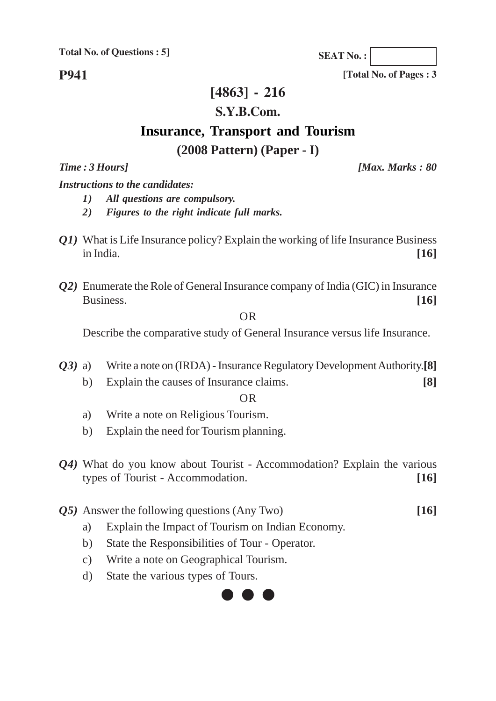**SEAT No. :**

**P941**

### **[4863] - 216**

#### **S.Y.B.Com.**

### **Insurance, Transport and Tourism (2008 Pattern) (Paper - I)**

*Time : 3 Hours] [Max. Marks : 80*

**[Total No. of Pages : 3**

*Instructions to the candidates:*

- *1) All questions are compulsory.*
- *2) Figures to the right indicate full marks.*
- *Q1)* What is Life Insurance policy? Explain the working of life Insurance Business in India. **[16]**
- *Q2)* Enumerate the Role of General Insurance company of India (GIC) in Insurance Business. [16]

OR

Describe the comparative study of General Insurance versus life Insurance.

*Q3)* a) Write a note on (IRDA) - Insurance Regulatory Development Authority.**[8]** b) Explain the causes of Insurance claims. **[8]**

OR

- a) Write a note on Religious Tourism.
- b) Explain the need for Tourism planning.
- *Q4)* What do you know about Tourist Accommodation? Explain the various types of Tourist - Accommodation. **[16]**
- *Q5)* Answer the following questions (Any Two) **[16]**
	- a) Explain the Impact of Tourism on Indian Economy.
	- b) State the Responsibilities of Tour Operator.
	- c) Write a note on Geographical Tourism.
	- d) State the various types of Tours.

## $\bullet$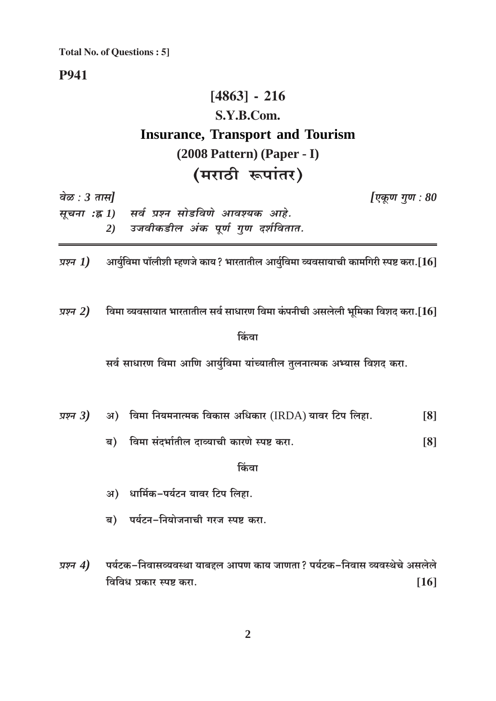#### **P941**

## $[4863] - 216$ S.Y.B.Com. **Insurance, Transport and Tourism**  $(2008$  Pattern $)$  (Paper - I) (मराठी रूपांतर)

वेळ :  $3 \pi H$ [एकूण गुण :  $80$ सर्व प्रश्न सोडविणे आवश्यक आहे. सूचना :ह्र 1) उजवीकडील अंक पूर्ण गुण दर्शवितात. 2)

आर्युविमा पॉलीशी म्हणजे काय? भारतातील आर्युविमा व्यवसायाची कामगिरी स्पष्ट करा. $\left[16\right]$ प्रश्न $1)$ 

विमा व्यवसायात भारतातील सर्व साधारण विमा कंपनीची असलेली भूमिका विशद करा.[ ${\bf 16}$ ] प्रश्न  $2)$ 

#### किंवा

सर्व साधारण विमा आणि आर्युविमा यांच्यातील तुलनात्मक अभ्यास विशद करा.

| प्रश्न 3) |  | ्अ)    विमा नियमनात्मक विकास अधिकार (IRDA) यावर टिप लिहा. |  |  |  |  |
|-----------|--|-----------------------------------------------------------|--|--|--|--|
|           |  |                                                           |  |  |  |  |

ब) विमा संदर्भातील दाव्याची कारणे स्पष्ट करा.  $[8]$ 

किंवा

- अ) धार्मिक-पर्यटन यावर टिप लिहा.
- ब) पर्यटन-नियोजनाची गरज स्पष्ट करा.
- पर्यटक-निवासव्यवस्था याबद्दल आपण काय जाणता? पर्यटक-निवास व्यवस्थेचे असलेले प्रश्न  $4)$ विविध प्रकार स्पष्ट करा.  $[16]$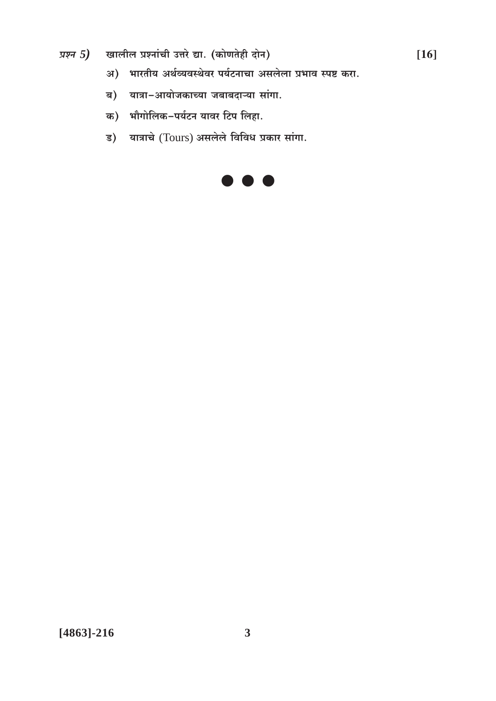- खालील प्रश्नांची उत्तरे द्या. (कोणतेही दोन) प्रश्न  $5)$ 
	- अ) भारतीय अर्थव्यवस्थेवर पर्यटनाचा असलेला प्रभाव स्पष्ट करा.
	- ब) यात्रा-आयोजकाच्या जबाबदाऱ्या सांगा.
	- क) भौगोलिक-पर्यटन यावर टिप लिहा.
	- ड) यात्राचे (Tours) असलेले विविध प्रकार सांगा.

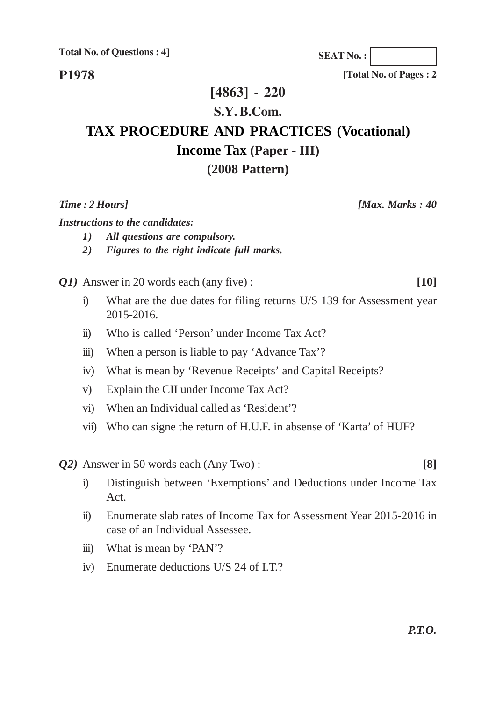**P1978**

**[4863] - 220**

#### **S.Y. B.Com.**

# **TAX PROCEDURE AND PRACTICES (Vocational) Income Tax (Paper - III)**

#### **(2008 Pattern)**

*Time : 2 Hours] [Max. Marks : 40*

*Instructions to the candidates:*

- *1) All questions are compulsory.*
- *2) Figures to the right indicate full marks.*

*Q1)* Answer in 20 words each (any five) : **[10]**

- i) What are the due dates for filing returns U/S 139 for Assessment year 2015-2016.
- ii) Who is called 'Person' under Income Tax Act?
- iii) When a person is liable to pay 'Advance Tax'?
- iv) What is mean by 'Revenue Receipts' and Capital Receipts?
- v) Explain the CII under Income Tax Act?
- vi) When an Individual called as 'Resident'?
- vii) Who can signe the return of H.U.F. in absense of 'Karta' of HUF?

*Q2)* Answer in 50 words each (Any Two) : **[8]**

- i) Distinguish between 'Exemptions' and Deductions under Income Tax Act.
- ii) Enumerate slab rates of Income Tax for Assessment Year 2015-2016 in case of an Individual Assessee.
- iii) What is mean by 'PAN'?
- iv) Enumerate deductions U/S 24 of I.T.?

**[Total No. of Pages : 2**

**SEAT No. :**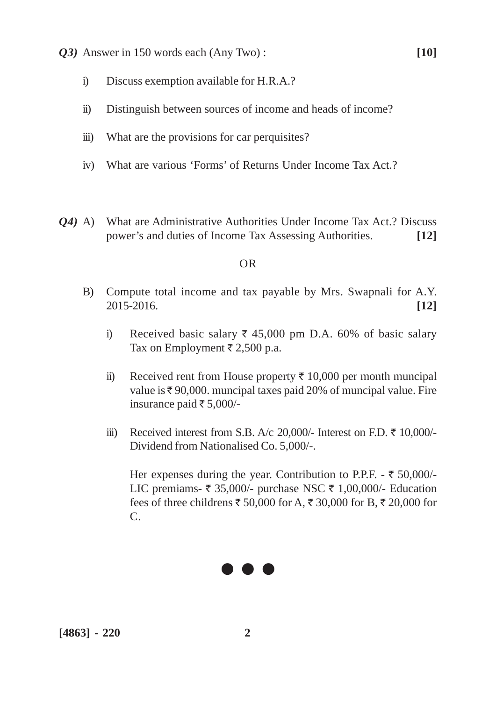- *Q3)* Answer in 150 words each (Any Two) : **[10]**
	- i) Discuss exemption available for H.R.A.?
	- ii) Distinguish between sources of income and heads of income?
	- iii) What are the provisions for car perquisites?
	- iv) What are various 'Forms' of Returns Under Income Tax Act.?
- *Q4)* A) What are Administrative Authorities Under Income Tax Act.? Discuss power's and duties of Income Tax Assessing Authorities. **[12]**

#### OR

- B) Compute total income and tax payable by Mrs. Swapnali for A.Y. 2015-2016. **[12]**
	- i) Received basic salary  $\overline{\tau}$  45,000 pm D.A. 60% of basic salary Tax on Employment  $\bar{\tau}$  2,500 p.a.
	- ii) Received rent from House property  $\bar{\tau}$  10,000 per month muncipal value is  $\bar{\tau}$  90,000. muncipal taxes paid 20% of muncipal value. Fire insurance paid  $\overline{\epsilon}$  5,000/-
	- iii) Received interest from S.B. A/c 20,000/- Interest on F.D.  $\bar{\tau}$  10,000/-Dividend from Nationalised Co. 5,000/-.

Her expenses during the year. Contribution to P.P.F. -  $\bar{\tau}$  50,000/-LIC premiams-  $\overline{\xi}$  35,000/- purchase NSC  $\overline{\xi}$  1,00,000/- Education fees of three childrens  $\bar{\tau}$  50,000 for A,  $\bar{\tau}$  30,000 for B,  $\bar{\tau}$  20,000 for  $\mathcal{C}$ 

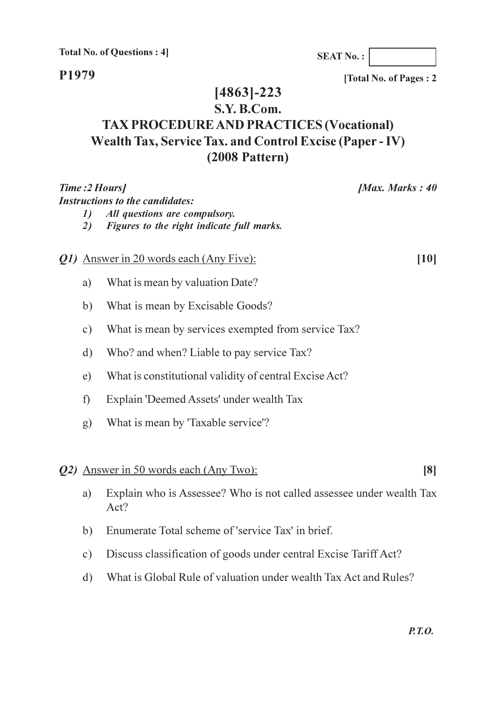P1979

[Total No. of Pages: 2]

## $[4863] - 223$

### S.Y. B.Com. **TAX PROCEDURE AND PRACTICES (Vocational)** Wealth Tax, Service Tax. and Control Excise (Paper - IV)  $(2008$  Pattern)

|                                 | Time :2 Hours]<br>[Max. Marks: 40                                                                                    |      |
|---------------------------------|----------------------------------------------------------------------------------------------------------------------|------|
| $\boldsymbol{\mathit{1}}$<br>2) | <b>Instructions to the candidates:</b><br>All questions are compulsory.<br>Figures to the right indicate full marks. |      |
|                                 | Q1) Answer in 20 words each (Any Five):                                                                              | [10] |
| a)                              | What is mean by valuation Date?                                                                                      |      |
| b)                              | What is mean by Excisable Goods?                                                                                     |      |
| $\circ$ )                       | What is mean by services exempted from service Tax?                                                                  |      |
| $\mathbf{d}$                    | Who? and when? Liable to pay service Tax?                                                                            |      |
| e)                              | What is constitutional validity of central Excise Act?                                                               |      |
| f)                              | Explain 'Deemed Assets' under wealth Tax                                                                             |      |
| g)                              | What is mean by 'Taxable service'?                                                                                   |      |
|                                 | Q2) Answer in 50 words each (Any Two):                                                                               | [8]  |
| a)                              | Explain who is Assessee? Who is not called assessee under wealth Tax<br>Act?                                         |      |
| b)                              | Enumerate Total scheme of 'service Tax' in brief.                                                                    |      |
| $\circ$ )                       | Discuss classification of goods under central Excise Tariff Act?                                                     |      |
| $\mathbf{d}$                    | What is Global Rule of valuation under wealth Tax Act and Rules?                                                     |      |

#### **SEAT No.:**